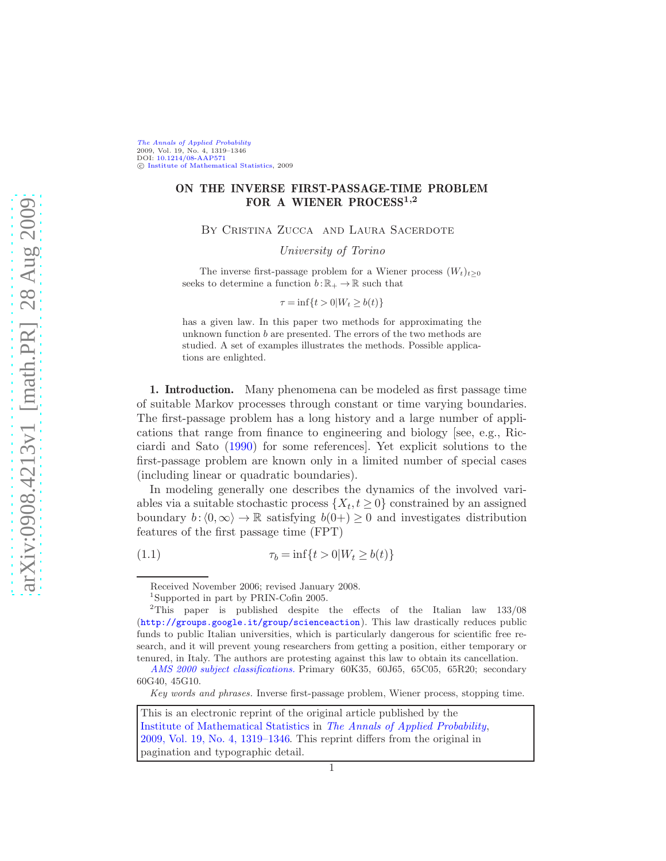[The Annals of Applied Probability](http://www.imstat.org/aap/) 2009, Vol. 19, No. 4, 1319–1346 DOI: [10.1214/08-AAP571](http://dx.doi.org/10.1214/08-AAP571) c [Institute of Mathematical Statistics,](http://www.imstat.org) 2009

## ON THE INVERSE FIRST-PASSAGE-TIME PROBLEM FOR A WIENER PROCESS<sup>1,2</sup>

By Cristina Zucca and Laura Sacerdote

University of Torino

The inverse first-passage problem for a Wiener process  $(W_t)_{t>0}$ seeks to determine a function  $b : \mathbb{R}_+ \to \mathbb{R}$  such that

$$
\tau = \inf\{t > 0 | W_t \ge b(t)\}
$$

has a given law. In this paper two methods for approximating the unknown function  $b$  are presented. The errors of the two methods are studied. A set of examples illustrates the methods. Possible applications are enlighted.

1. Introduction. Many phenomena can be modeled as first passage time of suitable Markov processes through constant or time varying boundaries. The first-passage problem has a long history and a large number of applications that range from finance to engineering and biology [see, e.g., Ricciardi and Sato [\(1990](#page-27-0)) for some references]. Yet explicit solutions to the first-passage problem are known only in a limited number of special cases (including linear or quadratic boundaries).

In modeling generally one describes the dynamics of the involved variables via a suitable stochastic process  $\{X_t, t \geq 0\}$  constrained by an assigned boundary  $b:(0,\infty) \to \mathbb{R}$  satisfying  $b(0+) \geq 0$  and investigates distribution features of the first passage time (FPT)

(1.1)  $\tau_b = \inf\{t > 0 | W_t \ge b(t)\}\$ 

*Key words and phrases.* Inverse first-passage problem, Wiener process, stopping time.

<span id="page-0-0"></span>Received November 2006; revised January 2008.

<sup>1</sup> Supported in part by PRIN-Cofin 2005.

<sup>&</sup>lt;sup>2</sup>This paper is published despite the effects of the Italian law 133/08 (<http://groups.google.it/group/scienceaction>). This law drastically reduces public funds to public Italian universities, which is particularly dangerous for scientific free research, and it will prevent young researchers from getting a position, either temporary or tenured, in Italy. The authors are protesting against this law to obtain its cancellation.

*[AMS 2000 subject classifications.](http://www.ams.org/msc/)* Primary 60K35, 60J65, 65C05, 65R20; secondary 60G40, 45G10.

This is an electronic reprint of the original article published by the [Institute of Mathematical Statistics](http://www.imstat.org) in [The Annals of Applied Probability](http://www.imstat.org/aap/), [2009, Vol. 19, No. 4, 1319–1346.](http://dx.doi.org/10.1214/08-AAP571) This reprint differs from the original in pagination and typographic detail.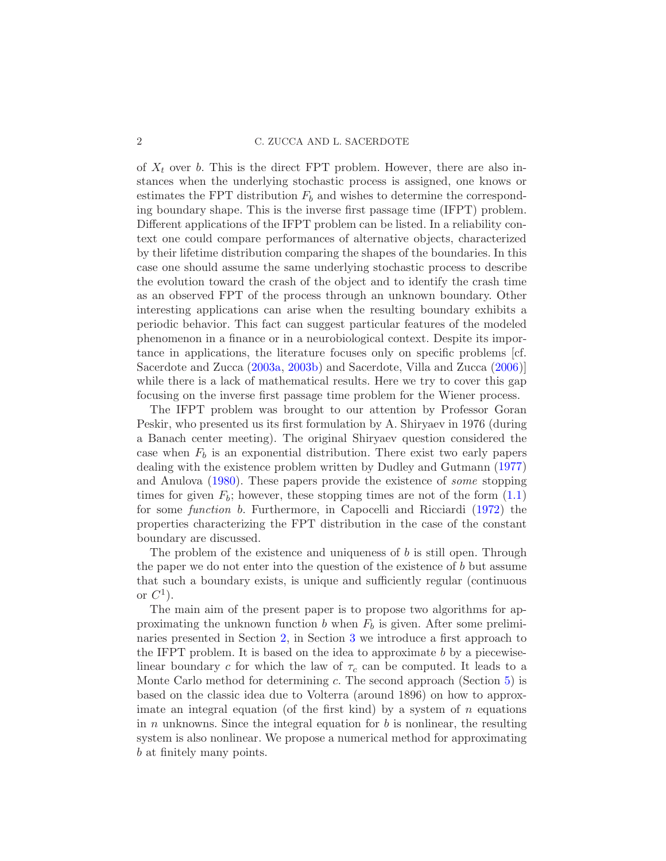## 2 C. ZUCCA AND L. SACERDOTE

of  $X_t$  over b. This is the direct FPT problem. However, there are also instances when the underlying stochastic process is assigned, one knows or estimates the FPT distribution  $F_b$  and wishes to determine the corresponding boundary shape. This is the inverse first passage time (IFPT) problem. Different applications of the IFPT problem can be listed. In a reliability context one could compare performances of alternative objects, characterized by their lifetime distribution comparing the shapes of the boundaries. In this case one should assume the same underlying stochastic process to describe the evolution toward the crash of the object and to identify the crash time as an observed FPT of the process through an unknown boundary. Other interesting applications can arise when the resulting boundary exhibits a periodic behavior. This fact can suggest particular features of the modeled phenomenon in a finance or in a neurobiological context. Despite its importance in applications, the literature focuses only on specific problems [cf. Sacerdote and Zucca [\(2003a](#page-27-1), [2003b\)](#page-27-2) and Sacerdote, Villa and Zucca [\(2006](#page-27-3))] while there is a lack of mathematical results. Here we try to cover this gap focusing on the inverse first passage time problem for the Wiener process.

The IFPT problem was brought to our attention by Professor Goran Peskir, who presented us its first formulation by A. Shiryaev in 1976 (during a Banach center meeting). The original Shiryaev question considered the case when  $F_b$  is an exponential distribution. There exist two early papers dealing with the existence problem written by Dudley and Gutmann [\(1977](#page-27-4)) and Anulova [\(1980](#page-27-5)). These papers provide the existence of some stopping times for given  $F_b$ ; however, these stopping times are not of the form  $(1.1)$ for some function b. Furthermore, in Capocelli and Ricciardi [\(1972\)](#page-27-6) the properties characterizing the FPT distribution in the case of the constant boundary are discussed.

The problem of the existence and uniqueness of b is still open. Through the paper we do not enter into the question of the existence of b but assume that such a boundary exists, is unique and sufficiently regular (continuous or  $C^1$ ).

The main aim of the present paper is to propose two algorithms for approximating the unknown function b when  $F_b$  is given. After some preliminaries presented in Section [2,](#page-2-0) in Section [3](#page-5-0) we introduce a first approach to the IFPT problem. It is based on the idea to approximate b by a piecewiselinear boundary c for which the law of  $\tau_c$  can be computed. It leads to a Monte Carlo method for determining  $c$ . The second approach (Section  $5$ ) is based on the classic idea due to Volterra (around 1896) on how to approximate an integral equation (of the first kind) by a system of  $n$  equations in  $n$  unknowns. Since the integral equation for  $b$  is nonlinear, the resulting system is also nonlinear. We propose a numerical method for approximating b at finitely many points.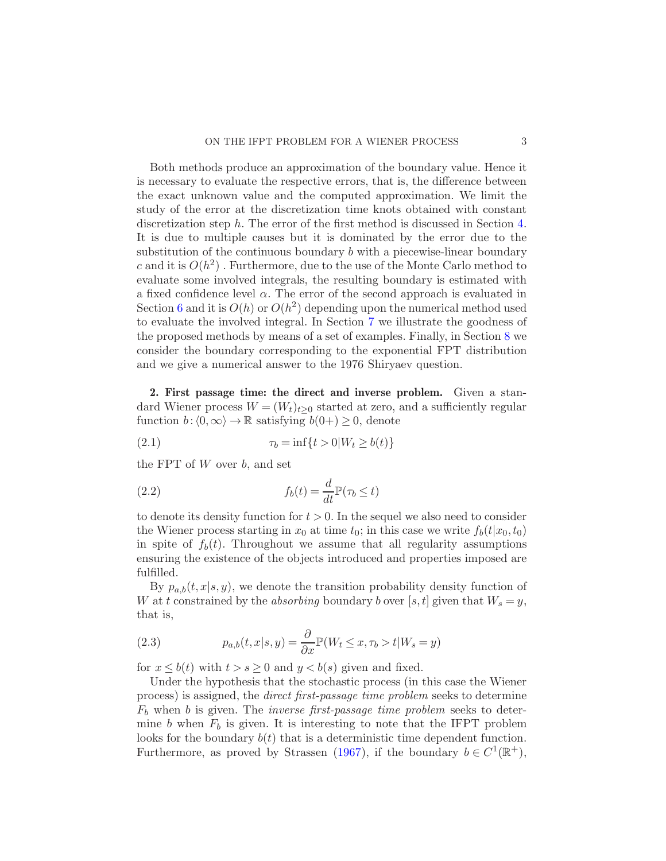Both methods produce an approximation of the boundary value. Hence it is necessary to evaluate the respective errors, that is, the difference between the exact unknown value and the computed approximation. We limit the study of the error at the discretization time knots obtained with constant discretization step h. The error of the first method is discussed in Section [4.](#page-8-0) It is due to multiple causes but it is dominated by the error due to the substitution of the continuous boundary b with a piecewise-linear boundary c and it is  $O(h^2)$ . Furthermore, due to the use of the Monte Carlo method to evaluate some involved integrals, the resulting boundary is estimated with a fixed confidence level  $\alpha$ . The error of the second approach is evaluated in Section [6](#page-17-0) and it is  $O(h)$  or  $O(h^2)$  depending upon the numerical method used to evaluate the involved integral. In Section [7](#page-21-0) we illustrate the goodness of the proposed methods by means of a set of examples. Finally, in Section [8](#page-23-0) we consider the boundary corresponding to the exponential FPT distribution and we give a numerical answer to the 1976 Shiryaev question.

<span id="page-2-0"></span>2. First passage time: the direct and inverse problem. Given a standard Wiener process  $W = (W_t)_{t>0}$  started at zero, and a sufficiently regular function  $b: \langle 0, \infty \rangle \to \mathbb{R}$  satisfying  $b(0+) \geq 0$ , denote

<span id="page-2-3"></span>(2.1) 
$$
\tau_b = \inf\{t > 0 | W_t \ge b(t)\}
$$

the FPT of  $W$  over  $b$ , and set

<span id="page-2-1"></span>(2.2) 
$$
f_b(t) = \frac{d}{dt} \mathbb{P}(\tau_b \le t)
$$

to denote its density function for  $t > 0$ . In the sequel we also need to consider the Wiener process starting in  $x_0$  at time  $t_0$ ; in this case we write  $f_b(t|x_0, t_0)$ in spite of  $f_b(t)$ . Throughout we assume that all regularity assumptions ensuring the existence of the objects introduced and properties imposed are fulfilled.

By  $p_{a,b}(t,x|s,y)$ , we denote the transition probability density function of W at t constrained by the *absorbing* boundary b over [s, t] given that  $W_s = y$ , that is,

<span id="page-2-2"></span>(2.3) 
$$
p_{a,b}(t,x|s,y) = \frac{\partial}{\partial x} \mathbb{P}(W_t \le x, \tau_b > t | W_s = y)
$$

for  $x \leq b(t)$  with  $t > s \geq 0$  and  $y < b(s)$  given and fixed.

Under the hypothesis that the stochastic process (in this case the Wiener process) is assigned, the direct first-passage time problem seeks to determine  $F_b$  when b is given. The *inverse first-passage time problem* seeks to determine b when  $F_b$  is given. It is interesting to note that the IFPT problem looks for the boundary  $b(t)$  that is a deterministic time dependent function. Furthermore, as proved by Strassen [\(1967](#page-27-7)), if the boundary  $b \in C^1(\mathbb{R}^+),$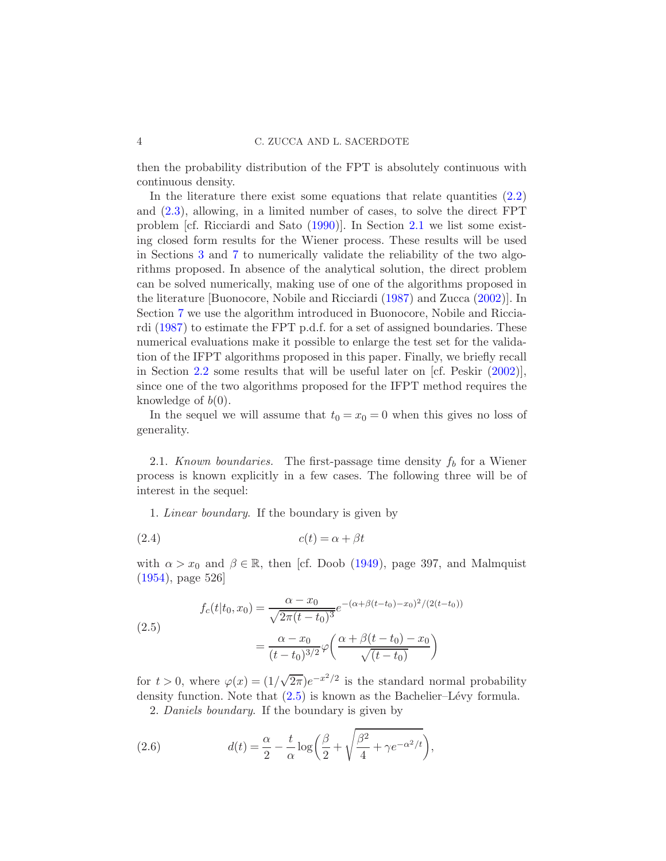then the probability distribution of the FPT is absolutely continuous with continuous density.

In the literature there exist some equations that relate quantities  $(2.2)$ and [\(2.3\)](#page-2-2), allowing, in a limited number of cases, to solve the direct FPT problem [cf. Ricciardi and Sato [\(1990](#page-27-0))]. In Section [2.1](#page-2-3) we list some existing closed form results for the Wiener process. These results will be used in Sections [3](#page-5-0) and [7](#page-21-0) to numerically validate the reliability of the two algorithms proposed. In absence of the analytical solution, the direct problem can be solved numerically, making use of one of the algorithms proposed in the literature [Buonocore, Nobile and Ricciardi [\(1987](#page-27-8)) and Zucca [\(2002](#page-28-0))]. In Section [7](#page-21-0) we use the algorithm introduced in Buonocore, Nobile and Ricciardi [\(1987](#page-27-8)) to estimate the FPT p.d.f. for a set of assigned boundaries. These numerical evaluations make it possible to enlarge the test set for the validation of the IFPT algorithms proposed in this paper. Finally, we briefly recall in Section [2.2](#page-2-1) some results that will be useful later on [cf. Peskir [\(2002](#page-27-9))], since one of the two algorithms proposed for the IFPT method requires the knowledge of  $b(0)$ .

In the sequel we will assume that  $t_0 = x_0 = 0$  when this gives no loss of generality.

2.1. Known boundaries. The first-passage time density  $f_b$  for a Wiener process is known explicitly in a few cases. The following three will be of interest in the sequel:

1. Linear boundary. If the boundary is given by

$$
(2.4) \t\t c(t) = \alpha + \beta t
$$

with  $\alpha > x_0$  and  $\beta \in \mathbb{R}$ , then [cf. Doob [\(1949](#page-27-10)), page 397, and Malmquist [\(1954\)](#page-27-11), page 526]

<span id="page-3-0"></span>(2.5)  

$$
f_c(t|t_0, x_0) = \frac{\alpha - x_0}{\sqrt{2\pi (t - t_0)^3}} e^{-(\alpha + \beta (t - t_0) - x_0)^2 / (2(t - t_0))}
$$

$$
= \frac{\alpha - x_0}{(t - t_0)^{3/2}} \varphi \left( \frac{\alpha + \beta (t - t_0) - x_0}{\sqrt{(t - t_0)}} \right)
$$

for  $t > 0$ , where  $\varphi(x) = (1/\sqrt{2\pi})e^{-x^2/2}$  is the standard normal probability density function. Note that  $(2.5)$  is known as the Bachelier–Lévy formula. 2. Daniels boundary. If the boundary is given by

(2.6) 
$$
d(t) = \frac{\alpha}{2} - \frac{t}{\alpha} \log \left( \frac{\beta}{2} + \sqrt{\frac{\beta^2}{4} + \gamma e^{-\alpha^2/t}} \right),
$$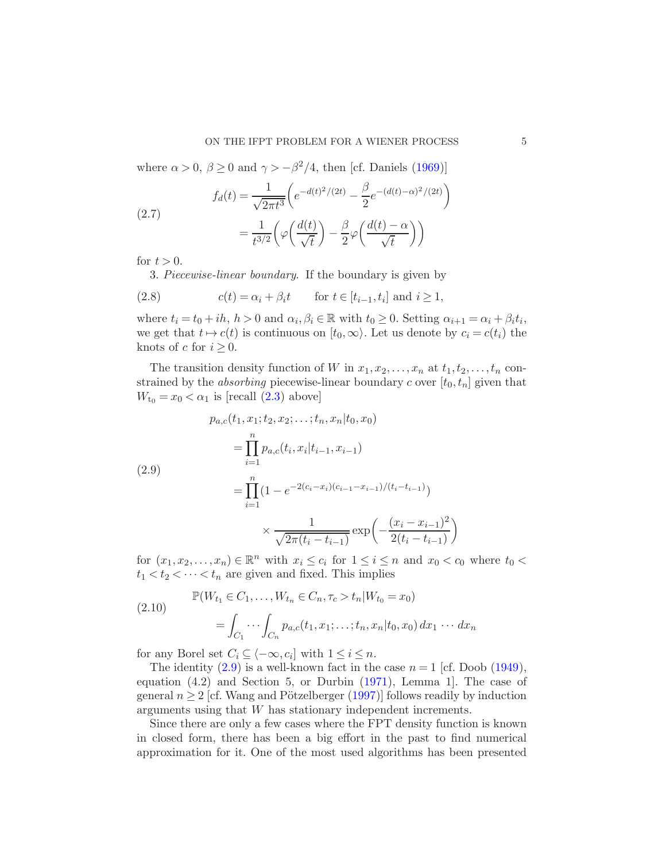where  $\alpha > 0$ ,  $\beta \ge 0$  and  $\gamma > -\beta^2/4$ , then [cf. Daniels [\(1969](#page-27-12))]

(2.7) 
$$
f_d(t) = \frac{1}{\sqrt{2\pi t^3}} \left( e^{-d(t)^2/(2t)} - \frac{\beta}{2} e^{-(d(t) - \alpha)^2/(2t)} \right) = \frac{1}{t^{3/2}} \left( \varphi \left( \frac{d(t)}{\sqrt{t}} \right) - \frac{\beta}{2} \varphi \left( \frac{d(t) - \alpha}{\sqrt{t}} \right) \right)
$$

for  $t > 0$ .

<span id="page-4-1"></span>3. Piecewise-linear boundary. If the boundary is given by

(2.8) 
$$
c(t) = \alpha_i + \beta_i t \quad \text{for } t \in [t_{i-1}, t_i] \text{ and } i \ge 1,
$$

where  $t_i = t_0 + ih$ ,  $h > 0$  and  $\alpha_i, \beta_i \in \mathbb{R}$  with  $t_0 \geq 0$ . Setting  $\alpha_{i+1} = \alpha_i + \beta_i t_i$ , we get that  $t \mapsto c(t)$  is continuous on  $[t_0,\infty)$ . Let us denote by  $c_i = c(t_i)$  the knots of c for  $i \geq 0$ .

The transition density function of W in  $x_1, x_2, \ldots, x_n$  at  $t_1, t_2, \ldots, t_n$  constrained by the *absorbing* piecewise-linear boundary c over  $[t_0, t_n]$  given that  $W_{t_0} = x_0 < \alpha_1$  is [recall  $(2.3)$  above]

<span id="page-4-0"></span>
$$
p_{a,c}(t_1, x_1; t_2, x_2; \dots; t_n, x_n | t_0, x_0)
$$
  
= 
$$
\prod_{i=1}^n p_{a,c}(t_i, x_i | t_{i-1}, x_{i-1})
$$
  
= 
$$
\prod_{i=1}^n (1 - e^{-2(c_i - x_i)(c_{i-1} - x_{i-1})/(t_i - t_{i-1})})
$$
  

$$
\times \frac{1}{\sqrt{2\pi (t_i - t_{i-1})}} \exp\left(-\frac{(x_i - x_{i-1})^2}{2(t_i - t_{i-1})}\right)
$$

for  $(x_1, x_2, \ldots, x_n) \in \mathbb{R}^n$  with  $x_i \leq c_i$  for  $1 \leq i \leq n$  and  $x_0 < c_0$  where  $t_0 <$  $t_1 < t_2 < \cdots < t_n$  are given and fixed. This implies

(2.10) 
$$
\mathbb{P}(W_{t_1} \in C_1, ..., W_{t_n} \in C_n, \tau_c > t_n | W_{t_0} = x_0)
$$

$$
= \int_{C_1} \cdots \int_{C_n} p_{a,c}(t_1, x_1; \dots; t_n, x_n | t_0, x_0) dx_1 \cdots dx_n
$$

for any Borel set  $C_i \subseteq \langle -\infty, c_i \rangle$  with  $1 \leq i \leq n$ .

The identity  $(2.9)$  is a well-known fact in the case  $n = 1$  [cf. Doob [\(1949](#page-27-10)), equation (4.2) and Section 5, or Durbin [\(1971](#page-27-13)), Lemma 1]. The case of general  $n \geq 2$  [cf. Wang and Pötzelberger [\(1997](#page-27-14))] follows readily by induction arguments using that W has stationary independent increments.

Since there are only a few cases where the FPT density function is known in closed form, there has been a big effort in the past to find numerical approximation for it. One of the most used algorithms has been presented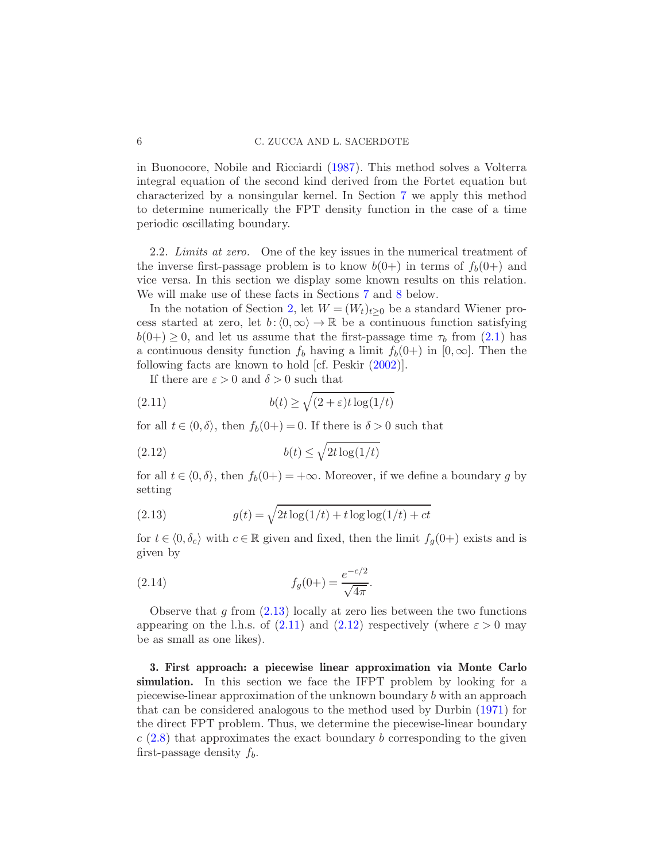in Buonocore, Nobile and Ricciardi [\(1987](#page-27-8)). This method solves a Volterra integral equation of the second kind derived from the Fortet equation but characterized by a nonsingular kernel. In Section [7](#page-21-0) we apply this method to determine numerically the FPT density function in the case of a time periodic oscillating boundary.

<span id="page-5-4"></span>2.2. Limits at zero. One of the key issues in the numerical treatment of the inverse first-passage problem is to know  $b(0+)$  in terms of  $f_b(0+)$  and vice versa. In this section we display some known results on this relation. We will make use of these facts in Sections [7](#page-21-0) and [8](#page-23-0) below.

In the notation of Section [2,](#page-2-0) let  $W = (W_t)_{t>0}$  be a standard Wiener process started at zero, let  $b:(0,\infty) \to \mathbb{R}$  be a continuous function satisfying  $b(0+) \geq 0$ , and let us assume that the first-passage time  $\tau_b$  from [\(2.1\)](#page-2-3) has a continuous density function  $f_b$  having a limit  $f_b(0+)$  in  $[0,\infty]$ . Then the following facts are known to hold [cf. Peskir [\(2002\)](#page-27-9)].

<span id="page-5-2"></span>If there are  $\varepsilon > 0$  and  $\delta > 0$  such that

(2.11) 
$$
b(t) \ge \sqrt{(2+\varepsilon)t \log(1/t)}
$$

for all  $t \in \langle 0, \delta \rangle$ , then  $f_b(0+) = 0$ . If there is  $\delta > 0$  such that

<span id="page-5-3"></span>
$$
(2.12)\t\t b(t) \le \sqrt{2t \log(1/t)}
$$

for all  $t \in (0, \delta)$ , then  $f_b(0+) = +\infty$ . Moreover, if we define a boundary g by setting

<span id="page-5-1"></span>(2.13) 
$$
g(t) = \sqrt{2t \log(1/t) + t \log \log(1/t) + ct}
$$

for  $t \in \langle 0, \delta_c \rangle$  with  $c \in \mathbb{R}$  given and fixed, then the limit  $f_q(0+)$  exists and is given by

<span id="page-5-5"></span>(2.14) 
$$
f_g(0+) = \frac{e^{-c/2}}{\sqrt{4\pi}}.
$$

Observe that  $q$  from  $(2.13)$  locally at zero lies between the two functions appearing on the l.h.s. of [\(2.11\)](#page-5-2) and [\(2.12\)](#page-5-3) respectively (where  $\varepsilon > 0$  may be as small as one likes).

<span id="page-5-0"></span>3. First approach: a piecewise linear approximation via Monte Carlo simulation. In this section we face the IFPT problem by looking for a piecewise-linear approximation of the unknown boundary b with an approach that can be considered analogous to the method used by Durbin [\(1971](#page-27-13)) for the direct FPT problem. Thus, we determine the piecewise-linear boundary  $c(2.8)$  $c(2.8)$  that approximates the exact boundary b corresponding to the given first-passage density  $f_b$ .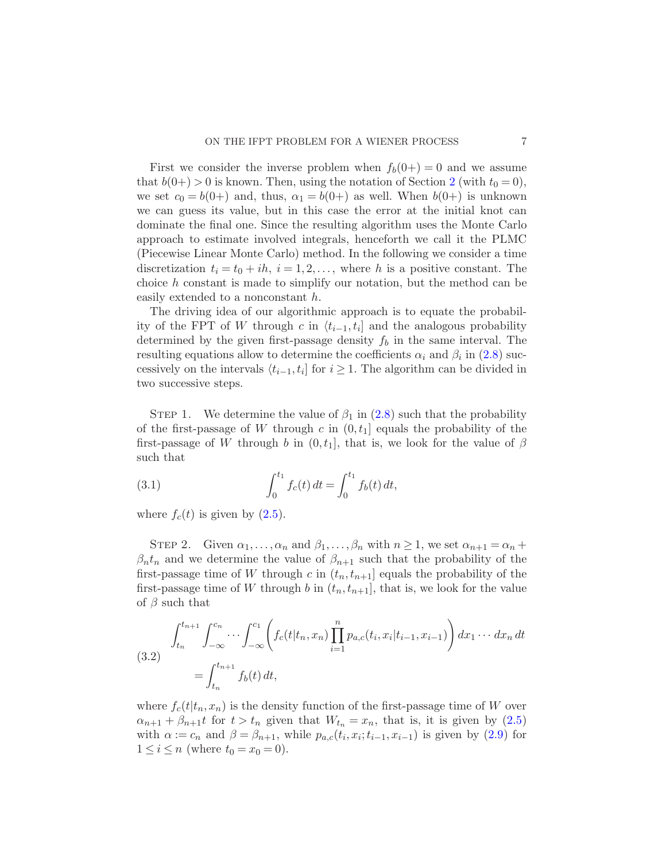First we consider the inverse problem when  $f_b(0+) = 0$  and we assume that  $b(0+) > 0$  is known. Then, using the notation of Section [2](#page-2-0) (with  $t_0 = 0$ ), we set  $c_0 = b(0+)$  and, thus,  $\alpha_1 = b(0+)$  as well. When  $b(0+)$  is unknown we can guess its value, but in this case the error at the initial knot can dominate the final one. Since the resulting algorithm uses the Monte Carlo approach to estimate involved integrals, henceforth we call it the PLMC (Piecewise Linear Monte Carlo) method. In the following we consider a time discretization  $t_i = t_0 + ih$ ,  $i = 1, 2, \ldots$ , where h is a positive constant. The choice h constant is made to simplify our notation, but the method can be easily extended to a nonconstant h.

The driving idea of our algorithmic approach is to equate the probability of the FPT of W through c in  $\langle t_{i-1}, t_i \rangle$  and the analogous probability determined by the given first-passage density  $f_b$  in the same interval. The resulting equations allow to determine the coefficients  $\alpha_i$  and  $\beta_i$  in [\(2.8\)](#page-4-1) successively on the intervals  $\langle t_{i-1}, t_i \rangle$  for  $i \geq 1$ . The algorithm can be divided in two successive steps.

STEP 1. We determine the value of  $\beta_1$  in [\(2.8\)](#page-4-1) such that the probability of the first-passage of W through c in  $(0, t_1]$  equals the probability of the first-passage of W through b in  $(0, t_1]$ , that is, we look for the value of  $\beta$ such that

<span id="page-6-1"></span>(3.1) 
$$
\int_0^{t_1} f_c(t) dt = \int_0^{t_1} f_b(t) dt,
$$

where  $f_c(t)$  is given by  $(2.5)$ .

STEP 2. Given  $\alpha_1, \ldots, \alpha_n$  and  $\beta_1, \ldots, \beta_n$  with  $n \geq 1$ , we set  $\alpha_{n+1} = \alpha_n +$  $\beta_n t_n$  and we determine the value of  $\beta_{n+1}$  such that the probability of the first-passage time of W through c in  $(t_n, t_{n+1}]$  equals the probability of the first-passage time of W through b in  $(t_n, t_{n+1}]$ , that is, we look for the value of  $\beta$  such that

<span id="page-6-0"></span>(3.2) 
$$
\int_{t_n}^{t_{n+1}} \int_{-\infty}^{c_n} \cdots \int_{-\infty}^{c_1} \left( f_c(t|t_n, x_n) \prod_{i=1}^n p_{a,c}(t_i, x_i|t_{i-1}, x_{i-1}) \right) dx_1 \cdots dx_n dt
$$

$$
= \int_{t_n}^{t_{n+1}} f_b(t) dt,
$$

where  $f_c(t|t_n, x_n)$  is the density function of the first-passage time of W over  $\alpha_{n+1} + \beta_{n+1}t$  for  $t > t_n$  given that  $W_{t_n} = x_n$ , that is, it is given by  $(2.5)$ with  $\alpha := c_n$  and  $\beta = \beta_{n+1}$ , while  $p_{a,c}(t_i, x_i; t_{i-1}, x_{i-1})$  is given by  $(2.9)$  for  $1 \le i \le n$  (where  $t_0 = x_0 = 0$ ).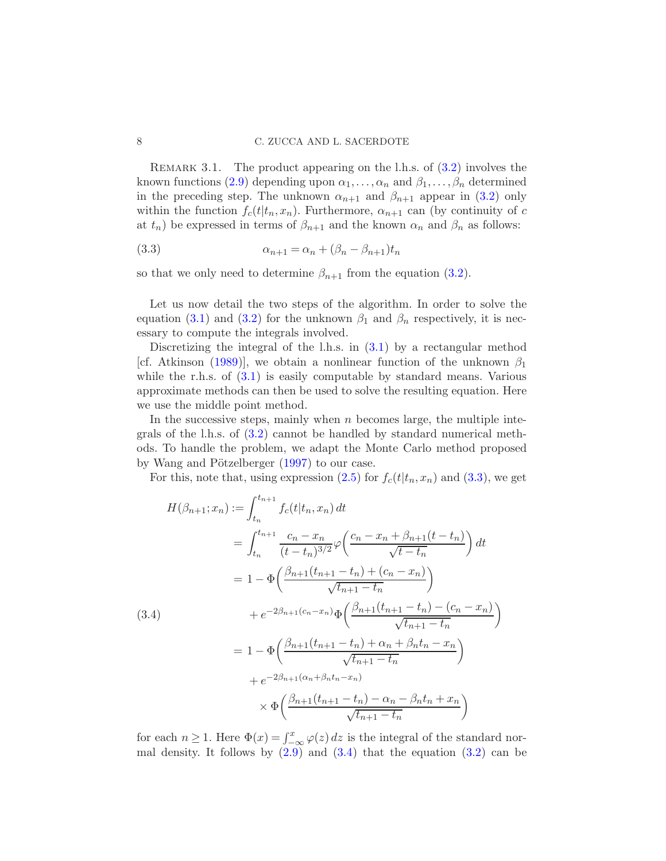REMARK 3.1. The product appearing on the l.h.s. of  $(3.2)$  involves the known functions [\(2.9\)](#page-4-0) depending upon  $\alpha_1, \ldots, \alpha_n$  and  $\beta_1, \ldots, \beta_n$  determined in the preceding step. The unknown  $\alpha_{n+1}$  and  $\beta_{n+1}$  appear in [\(3.2\)](#page-6-0) only within the function  $f_c(t|t_n, x_n)$ . Furthermore,  $\alpha_{n+1}$  can (by continuity of c at  $t_n$ ) be expressed in terms of  $\beta_{n+1}$  and the known  $\alpha_n$  and  $\beta_n$  as follows:

<span id="page-7-0"></span>
$$
\alpha_{n+1} = \alpha_n + (\beta_n - \beta_{n+1})t_n
$$

so that we only need to determine  $\beta_{n+1}$  from the equation [\(3.2\)](#page-6-0).

Let us now detail the two steps of the algorithm. In order to solve the equation [\(3.1\)](#page-6-1) and [\(3.2\)](#page-6-0) for the unknown  $\beta_1$  and  $\beta_n$  respectively, it is necessary to compute the integrals involved.

Discretizing the integral of the l.h.s. in  $(3.1)$  by a rectangular method [cf. Atkinson [\(1989](#page-27-15))], we obtain a nonlinear function of the unknown  $\beta_1$ while the r.h.s. of  $(3.1)$  is easily computable by standard means. Various approximate methods can then be used to solve the resulting equation. Here we use the middle point method.

In the successive steps, mainly when  $n$  becomes large, the multiple integrals of the l.h.s. of [\(3.2\)](#page-6-0) cannot be handled by standard numerical methods. To handle the problem, we adapt the Monte Carlo method proposed by Wang and Pötzelberger  $(1997)$  to our case.

For this, note that, using expression  $(2.5)$  for  $f_c(t|t_n, x_n)$  and  $(3.3)$ , we get

<span id="page-7-1"></span>
$$
H(\beta_{n+1}; x_n) := \int_{t_n}^{t_{n+1}} f_c(t|t_n, x_n) dt
$$
  
\n
$$
= \int_{t_n}^{t_{n+1}} \frac{c_n - x_n}{(t - t_n)^{3/2}} \varphi\left(\frac{c_n - x_n + \beta_{n+1}(t - t_n)}{\sqrt{t - t_n}}\right) dt
$$
  
\n
$$
= 1 - \Phi\left(\frac{\beta_{n+1}(t_{n+1} - t_n) + (c_n - x_n)}{\sqrt{t_{n+1} - t_n}}\right)
$$
  
\n(3.4)  
\n
$$
+ e^{-2\beta_{n+1}(c_n - x_n)} \Phi\left(\frac{\beta_{n+1}(t_{n+1} - t_n) - (c_n - x_n)}{\sqrt{t_{n+1} - t_n}}\right)
$$
  
\n
$$
= 1 - \Phi\left(\frac{\beta_{n+1}(t_{n+1} - t_n) + \alpha_n + \beta_n t_n - x_n}{\sqrt{t_{n+1} - t_n}}\right)
$$
  
\n
$$
+ e^{-2\beta_{n+1}(\alpha_n + \beta_n t_n - x_n)}
$$
  
\n
$$
\times \Phi\left(\frac{\beta_{n+1}(t_{n+1} - t_n) - \alpha_n - \beta_n t_n + x_n}{\sqrt{t_{n+1} - t_n}}\right)
$$

for each  $n \geq 1$ . Here  $\Phi(x) = \int_{-\infty}^{x} \varphi(z) dz$  is the integral of the standard normal density. It follows by  $(2.9)$  and  $(3.4)$  that the equation  $(3.2)$  can be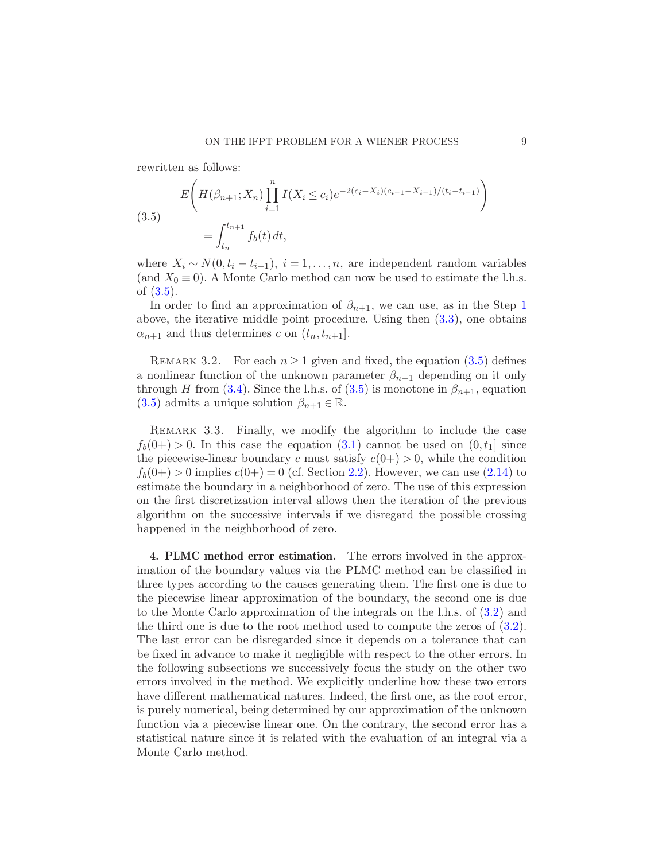rewritten as follows:

<span id="page-8-1"></span>(3.5)  

$$
E\left(H(\beta_{n+1}; X_n) \prod_{i=1}^n I(X_i \le c_i) e^{-2(c_i - X_i)(c_{i-1} - X_{i-1})/(t_i - t_{i-1})}\right)
$$

$$
= \int_{t_n}^{t_{n+1}} f_b(t) dt,
$$

where  $X_i \sim N(0, t_i - t_{i-1}), i = 1, \ldots, n$ , are independent random variables (and  $X_0 \equiv 0$ ). A Monte Carlo method can now be used to estimate the l.h.s. of [\(3.5\)](#page-8-1).

In order to find an approximation of  $\beta_{n+1}$  $\beta_{n+1}$  $\beta_{n+1}$ , we can use, as in the Step 1 above, the iterative middle point procedure. Using then [\(3.3\)](#page-7-0), one obtains  $\alpha_{n+1}$  and thus determines c on  $(t_n, t_{n+1})$ .

REMARK 3.2. For each  $n \geq 1$  given and fixed, the equation  $(3.5)$  defines a nonlinear function of the unknown parameter  $\beta_{n+1}$  depending on it only through H from [\(3.4\)](#page-7-1). Since the l.h.s. of [\(3.5\)](#page-8-1) is monotone in  $\beta_{n+1}$ , equation [\(3.5\)](#page-8-1) admits a unique solution  $\beta_{n+1} \in \mathbb{R}$ .

REMARK 3.3. Finally, we modify the algorithm to include the case  $f_b(0+) > 0$ . In this case the equation [\(3.1\)](#page-6-1) cannot be used on  $(0, t_1]$  since the piecewise-linear boundary c must satisfy  $c(0+) > 0$ , while the condition  $f_b(0+) > 0$  implies  $c(0+) = 0$  (cf. Section [2.2\)](#page-5-4). However, we can use [\(2.14\)](#page-5-5) to estimate the boundary in a neighborhood of zero. The use of this expression on the first discretization interval allows then the iteration of the previous algorithm on the successive intervals if we disregard the possible crossing happened in the neighborhood of zero.

<span id="page-8-0"></span>4. PLMC method error estimation. The errors involved in the approximation of the boundary values via the PLMC method can be classified in three types according to the causes generating them. The first one is due to the piecewise linear approximation of the boundary, the second one is due to the Monte Carlo approximation of the integrals on the l.h.s. of [\(3.2\)](#page-6-0) and the third one is due to the root method used to compute the zeros of  $(3.2)$ . The last error can be disregarded since it depends on a tolerance that can be fixed in advance to make it negligible with respect to the other errors. In the following subsections we successively focus the study on the other two errors involved in the method. We explicitly underline how these two errors have different mathematical natures. Indeed, the first one, as the root error, is purely numerical, being determined by our approximation of the unknown function via a piecewise linear one. On the contrary, the second error has a statistical nature since it is related with the evaluation of an integral via a Monte Carlo method.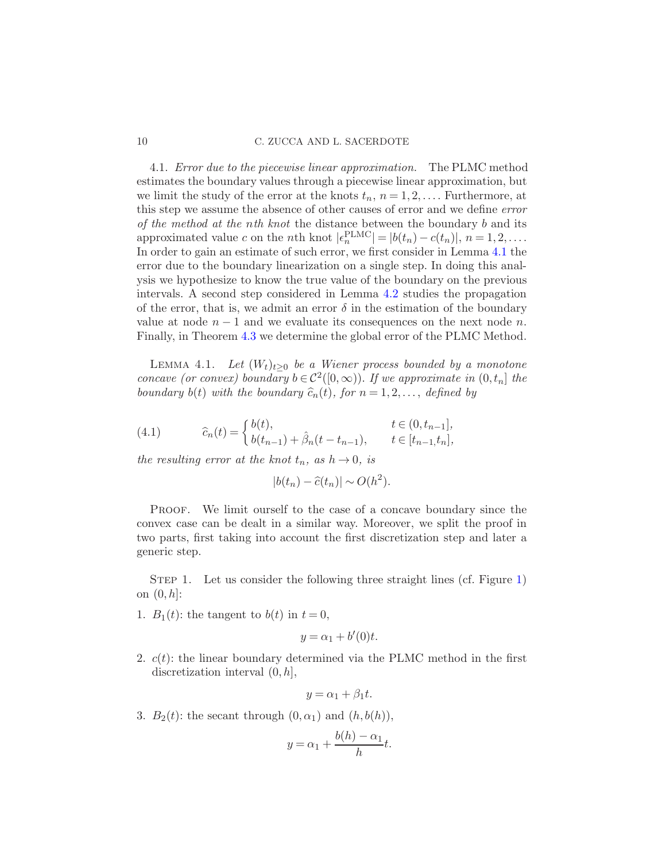4.1. Error due to the piecewise linear approximation. The PLMC method estimates the boundary values through a piecewise linear approximation, but we limit the study of the error at the knots  $t_n$ ,  $n = 1, 2, \ldots$ . Furthermore, at this step we assume the absence of other causes of error and we define error of the method at the nth knot the distance between the boundary  $b$  and its approximated value c on the nth knot  $|\epsilon_n^{\text{PLMC}}| = |b(t_n) - c(t_n)|, n = 1, 2, \dots$ In order to gain an estimate of such error, we first consider in Lemma [4.1](#page-9-0) the error due to the boundary linearization on a single step. In doing this analysis we hypothesize to know the true value of the boundary on the previous intervals. A second step considered in Lemma [4.2](#page-11-0) studies the propagation of the error, that is, we admit an error  $\delta$  in the estimation of the boundary value at node  $n-1$  and we evaluate its consequences on the next node n. Finally, in Theorem [4.3](#page-13-0) we determine the global error of the PLMC Method.

<span id="page-9-0"></span>LEMMA 4.1. Let  $(W_t)_{t>0}$  be a Wiener process bounded by a monotone concave (or convex) boundary  $b \in C^2([0,\infty))$ . If we approximate in  $(0,t_n]$  the boundary  $b(t)$  with the boundary  $\widehat{c}_n(t)$ , for  $n = 1, 2, \ldots$ , defined by

<span id="page-9-1"></span>(4.1) 
$$
\widehat{c}_n(t) = \begin{cases} b(t), & t \in (0, t_{n-1}], \\ b(t_{n-1}) + \widehat{\beta}_n(t - t_{n-1}), & t \in [t_{n-1}, t_n], \end{cases}
$$

the resulting error at the knot  $t_n$ , as  $h \to 0$ , is

$$
|b(t_n) - \hat{c}(t_n)| \sim O(h^2).
$$

PROOF. We limit ourself to the case of a concave boundary since the convex case can be dealt in a similar way. Moreover, we split the proof in two parts, first taking into account the first discretization step and later a generic step.

STEP 1. Let us consider the following three straight lines (cf. Figure [1\)](#page-10-0) on  $(0, h]$ :

1.  $B_1(t)$ : the tangent to  $b(t)$  in  $t = 0$ ,

$$
y = \alpha_1 + b'(0)t.
$$

2.  $c(t)$ : the linear boundary determined via the PLMC method in the first discretization interval  $(0, h]$ ,

$$
y = \alpha_1 + \beta_1 t.
$$

3.  $B_2(t)$ : the secant through  $(0, \alpha_1)$  and  $(h, b(h))$ ,

$$
y = \alpha_1 + \frac{b(h) - \alpha_1}{h}t.
$$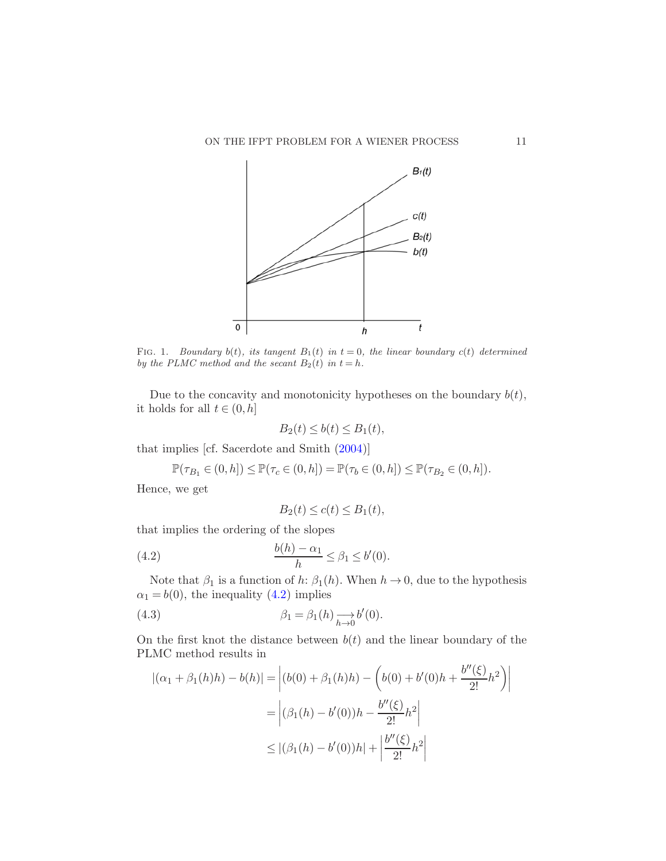

<span id="page-10-0"></span>FIG. 1. *Boundary*  $b(t)$ *, its tangent*  $B_1(t)$  *in*  $t = 0$ *, the linear boundary*  $c(t)$  *determined by the PLMC method and the secant*  $B_2(t)$  *in*  $t = h$ *.* 

Due to the concavity and monotonicity hypotheses on the boundary  $b(t)$ , it holds for all  $t \in (0, h]$ 

$$
B_2(t) \le b(t) \le B_1(t),
$$

that implies [cf. Sacerdote and Smith [\(2004](#page-27-16))]

$$
\mathbb{P}(\tau_{B_1} \in (0, h]) \le \mathbb{P}(\tau_c \in (0, h]) = \mathbb{P}(\tau_b \in (0, h]) \le \mathbb{P}(\tau_{B_2} \in (0, h]).
$$

Hence, we get

<span id="page-10-2"></span><span id="page-10-1"></span>
$$
B_2(t) \le c(t) \le B_1(t),
$$

that implies the ordering of the slopes

$$
\frac{b(h) - \alpha_1}{h} \le \beta_1 \le b'(0).
$$

Note that  $\beta_1$  is a function of  $h: \beta_1(h)$ . When  $h \to 0$ , due to the hypothesis  $\alpha_1 = b(0)$ , the inequality [\(4.2\)](#page-10-1) implies

(4.3) 
$$
\beta_1 = \beta_1(h) \underset{h \to 0}{\longrightarrow} b'(0).
$$

On the first knot the distance between  $b(t)$  and the linear boundary of the PLMC method results in

$$
|(\alpha_1 + \beta_1(h)h) - b(h)| = |(b(0) + \beta_1(h)h) - (b(0) + b'(0)h + \frac{b''(\xi)}{2!}h^2)|
$$
  
=  $|\beta_1(h) - b'(0))h - \frac{b''(\xi)}{2!}h^2|$   
 $\le |(\beta_1(h) - b'(0))h| + |\frac{b''(\xi)}{2!}h^2|$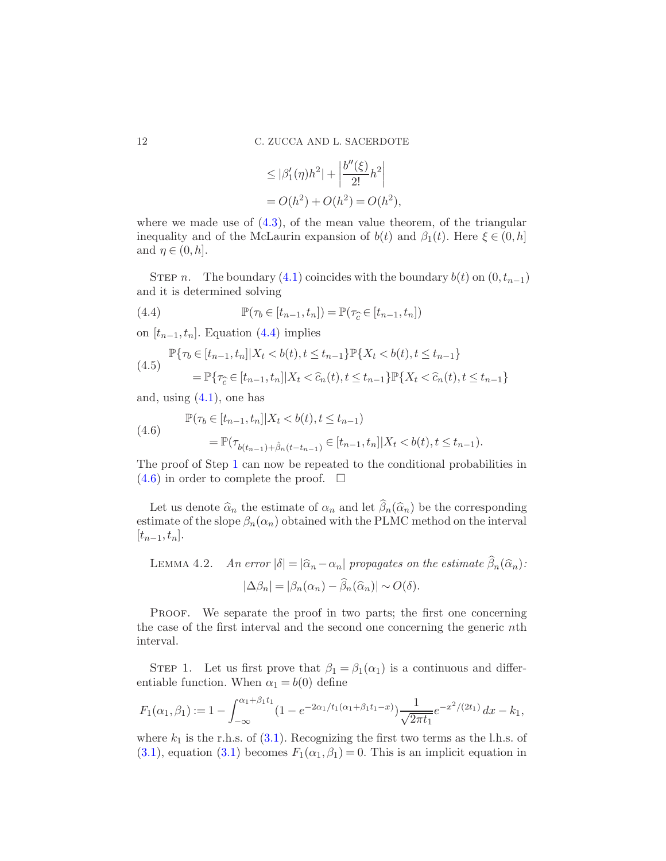$$
\leq |\beta'_1(\eta)h^2| + \left|\frac{b''(\xi)}{2!}h^2\right|
$$
  
= O(h<sup>2</sup>) + O(h<sup>2</sup>) = O(h<sup>2</sup>),

where we made use of  $(4.3)$ , of the mean value theorem, of the triangular inequality and of the McLaurin expansion of  $b(t)$  and  $\beta_1(t)$ . Here  $\xi \in (0, h]$ and  $\eta \in (0, h]$ .

STEP n. The boundary [\(4.1\)](#page-9-1) coincides with the boundary  $b(t)$  on  $(0, t_{n-1})$ and it is determined solving

<span id="page-11-1"></span>(4.4) 
$$
\mathbb{P}(\tau_b \in [t_{n-1}, t_n]) = \mathbb{P}(\tau_c \in [t_{n-1}, t_n])
$$

on  $[t_{n-1}, t_n]$ . Equation [\(4.4\)](#page-11-1) implies

$$
(4.5) \quad \mathbb{P}\{\tau_b \in [t_{n-1}, t_n] | X_t < b(t), t \le t_{n-1}\} \mathbb{P}\{X_t < b(t), t \le t_{n-1}\} \\
\quad = \mathbb{P}\{\tau_c \in [t_{n-1}, t_n] | X_t < \hat{c}_n(t), t \le t_{n-1}\} \mathbb{P}\{X_t < \hat{c}_n(t), t \le t_{n-1}\}\n \tag{4.5}
$$

and, using  $(4.1)$ , one has

<span id="page-11-2"></span>(4.6) 
$$
\mathbb{P}(\tau_b \in [t_{n-1}, t_n] | X_t < b(t), t \le t_{n-1})
$$

$$
= \mathbb{P}(\tau_{b(t_{n-1}) + \hat{\beta}_n(t - t_{n-1})} \in [t_{n-1}, t_n] | X_t < b(t), t \le t_{n-1}).
$$

The proof of Step [1](#page-18-0) can now be repeated to the conditional probabilities in  $(4.6)$  in order to complete the proof.  $\Box$ 

Let us denote  $\hat{\alpha}_n$  the estimate of  $\alpha_n$  and let  $\hat{\beta}_n(\hat{\alpha}_n)$  be the corresponding estimate of the slope  $\beta_n(\alpha_n)$  obtained with the PLMC method on the interval  $[t_{n-1}, t_n].$ 

<span id="page-11-0"></span>LEMMA 4.2. An error  $|\delta| = |\widehat{\alpha}_n - \alpha_n|$  propagates on the estimate  $\widehat{\beta}_n(\widehat{\alpha}_n)$ :

$$
|\Delta \beta_n| = |\beta_n(\alpha_n) - \widehat{\beta}_n(\widehat{\alpha}_n)| \sim O(\delta).
$$

Proof. We separate the proof in two parts; the first one concerning the case of the first interval and the second one concerning the generic nth interval.

STEP 1. Let us first prove that  $\beta_1 = \beta_1(\alpha_1)$  is a continuous and differentiable function. When  $\alpha_1 = b(0)$  define

$$
F_1(\alpha_1, \beta_1) := 1 - \int_{-\infty}^{\alpha_1 + \beta_1 t_1} (1 - e^{-2\alpha_1/t_1(\alpha_1 + \beta_1 t_1 - x)}) \frac{1}{\sqrt{2\pi t_1}} e^{-x^2/(2t_1)} dx - k_1,
$$

where  $k_1$  is the r.h.s. of  $(3.1)$ . Recognizing the first two terms as the l.h.s. of [\(3.1\)](#page-6-1), equation [\(3.1\)](#page-6-1) becomes  $F_1(\alpha_1, \beta_1) = 0$ . This is an implicit equation in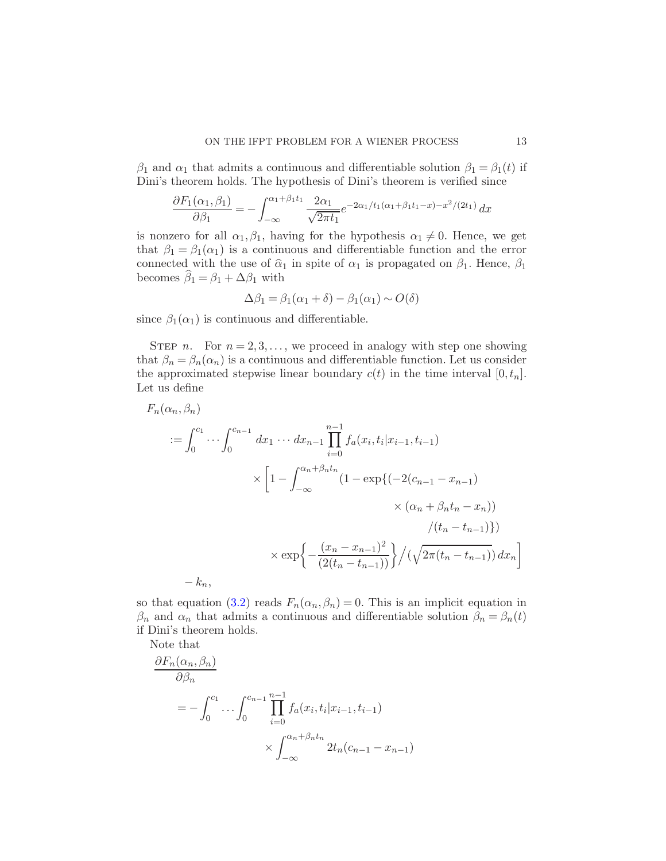$\beta_1$  and  $\alpha_1$  that admits a continuous and differentiable solution  $\beta_1 = \beta_1(t)$  if Dini's theorem holds. The hypothesis of Dini's theorem is verified since

$$
\frac{\partial F_1(\alpha_1, \beta_1)}{\partial \beta_1} = -\int_{-\infty}^{\alpha_1 + \beta_1 t_1} \frac{2\alpha_1}{\sqrt{2\pi t_1}} e^{-2\alpha_1/t_1(\alpha_1 + \beta_1 t_1 - x) - x^2/(2t_1)} dx
$$

is nonzero for all  $\alpha_1, \beta_1$ , having for the hypothesis  $\alpha_1 \neq 0$ . Hence, we get that  $\beta_1 = \beta_1(\alpha_1)$  is a continuous and differentiable function and the error connected with the use of  $\hat{\alpha}_1$  in spite of  $\alpha_1$  is propagated on  $\beta_1$ . Hence,  $\beta_1$ becomes  $\widehat{\beta}_1 = \beta_1 + \Delta \beta_1$  with

$$
\Delta \beta_1 = \beta_1(\alpha_1 + \delta) - \beta_1(\alpha_1) \sim O(\delta)
$$

since  $\beta_1(\alpha_1)$  is continuous and differentiable.

STEP n. For  $n = 2, 3, \ldots$ , we proceed in analogy with step one showing that  $\beta_n = \beta_n(\alpha_n)$  is a continuous and differentiable function. Let us consider the approximated stepwise linear boundary  $c(t)$  in the time interval  $[0, t_n]$ . Let us define

$$
F_n(\alpha_n, \beta_n)
$$
  
\n
$$
:= \int_0^{c_1} \cdots \int_0^{c_{n-1}} dx_1 \cdots dx_{n-1} \prod_{i=0}^{n-1} f_a(x_i, t_i | x_{i-1}, t_{i-1})
$$
  
\n
$$
\times \left[1 - \int_{-\infty}^{\alpha_n + \beta_n t_n} (1 - \exp\{(-2(c_{n-1} - x_{n-1})) \times (\alpha_n + \beta_n t_n - x_n))\} / (t_n - t_{n-1})\} \right]
$$
  
\n
$$
\times \exp\left\{-\frac{(x_n - x_{n-1})^2}{(2(t_n - t_{n-1}))}\right\} / (\sqrt{2\pi (t_n - t_{n-1})}) dx_n\right]
$$
  
\n
$$
-k_n,
$$

so that equation [\(3.2\)](#page-6-0) reads  $F_n(\alpha_n, \beta_n) = 0$ . This is an implicit equation in  $\beta_n$  and  $\alpha_n$  that admits a continuous and differentiable solution  $\beta_n = \beta_n(t)$ if Dini's theorem holds.

Note that

$$
\frac{\partial F_n(\alpha_n, \beta_n)}{\partial \beta_n}
$$
  
=  $-\int_0^{c_1} \dots \int_0^{c_{n-1}} \prod_{i=0}^{n-1} f_a(x_i, t_i | x_{i-1}, t_{i-1})$   
 $\times \int_{-\infty}^{\alpha_n + \beta_n t_n} 2t_n(c_{n-1} - x_{n-1})$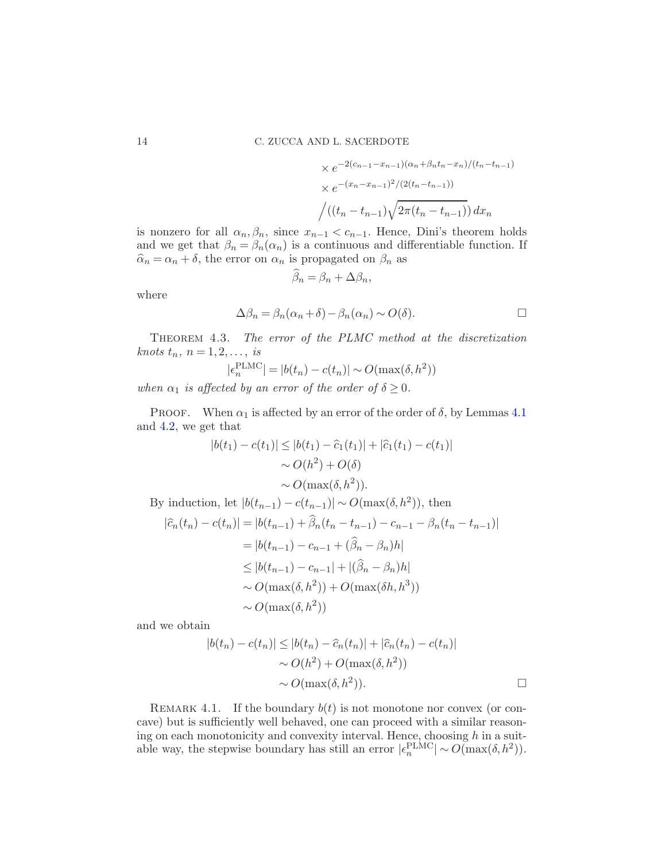$$
\times e^{-2(c_{n-1}-x_{n-1})(\alpha_n+\beta_n t_n-x_n)/(t_n-t_{n-1})}
$$
  
 
$$
\times e^{-(x_n-x_{n-1})^2/(2(t_n-t_{n-1}))}
$$
  
 
$$
\Big/ ((t_n-t_{n-1})\sqrt{2\pi(t_n-t_{n-1})}) dx_n
$$

is nonzero for all  $\alpha_n, \beta_n$ , since  $x_{n-1} < c_{n-1}$ . Hence, Dini's theorem holds and we get that  $\beta_n = \beta_n(\alpha_n)$  is a continuous and differentiable function. If  $\hat{\alpha}_n = \alpha_n + \delta$ , the error on  $\alpha_n$  is propagated on  $\beta_n$  as

$$
\widehat{\beta}_n = \beta_n + \Delta \beta_n,
$$

where

$$
\Delta \beta_n = \beta_n(\alpha_n + \delta) - \beta_n(\alpha_n) \sim O(\delta).
$$

<span id="page-13-0"></span>THEOREM 4.3. The error of the PLMC method at the discretization knots  $t_n$ ,  $n = 1, 2, \ldots$ , is

$$
|\epsilon_n^{\text{PLMC}}| = |b(t_n) - c(t_n)| \sim O(\max(\delta, h^2))
$$

when  $\alpha_1$  is affected by an error of the order of  $\delta \geq 0$ .

PROOF. When  $\alpha_1$  is affected by an error of the order of  $\delta$ , by Lemmas [4.1](#page-9-0) and [4.2,](#page-11-0) we get that

$$
|b(t_1) - c(t_1)| \le |b(t_1) - \hat{c}_1(t_1)| + |\hat{c}_1(t_1) - c(t_1)|
$$
  
\n
$$
\sim O(h^2) + O(\delta)
$$
  
\n
$$
\sim O(\max(\delta, h^2)).
$$

By induction, let 
$$
|b(t_{n-1}) - c(t_{n-1})| \sim O(\max(\delta, h^2))
$$
, then  
\n $|\hat{c}_n(t_n) - c(t_n)| = |b(t_{n-1}) + \hat{\beta}_n(t_n - t_{n-1}) - c_{n-1} - \beta_n(t_n - t_{n-1})|$   
\n $= |b(t_{n-1}) - c_{n-1} + (\hat{\beta}_n - \beta_n)h|$   
\n $\leq |b(t_{n-1}) - c_{n-1}| + |(\hat{\beta}_n - \beta_n)h|$   
\n $\sim O(\max(\delta, h^2)) + O(\max(\delta h, h^3))$   
\n $\sim O(\max(\delta, h^2))$ 

and we obtain

$$
|b(t_n) - c(t_n)| \le |b(t_n) - \widehat{c}_n(t_n)| + |\widehat{c}_n(t_n) - c(t_n)|
$$
  
 
$$
\sim O(h^2) + O(\max(\delta, h^2))
$$
  
 
$$
\sim O(\max(\delta, h^2)).
$$

REMARK 4.1. If the boundary  $b(t)$  is not monotone nor convex (or concave) but is sufficiently well behaved, one can proceed with a similar reasoning on each monotonicity and convexity interval. Hence, choosing  $h$  in a suitable way, the stepwise boundary has still an error  $|\epsilon_n^{\text{PLMC}}| \sim O(\max(\delta, h^2)).$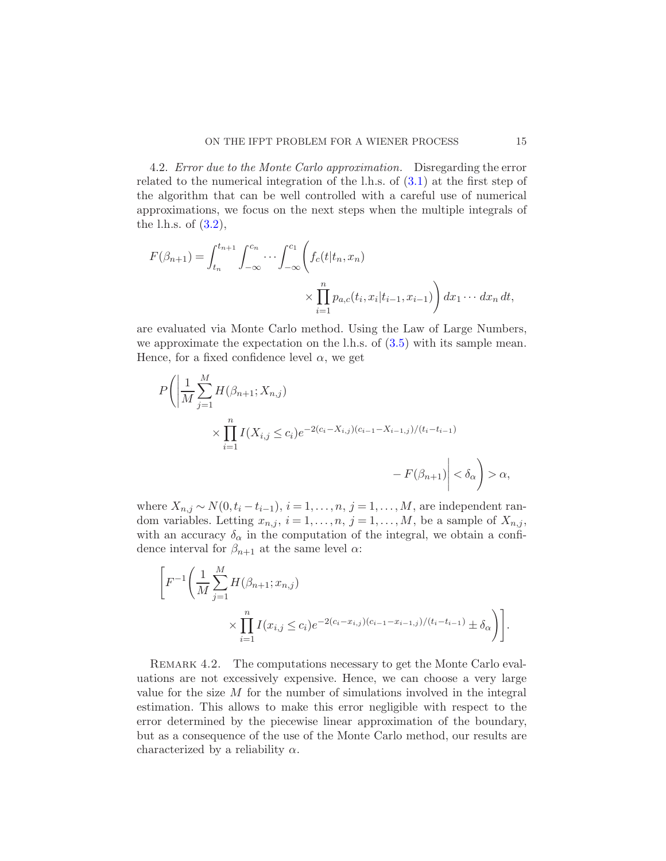4.2. Error due to the Monte Carlo approximation. Disregarding the error related to the numerical integration of the l.h.s. of [\(3.1\)](#page-6-1) at the first step of the algorithm that can be well controlled with a careful use of numerical approximations, we focus on the next steps when the multiple integrals of the l.h.s. of  $(3.2)$ ,

$$
F(\beta_{n+1}) = \int_{t_n}^{t_{n+1}} \int_{-\infty}^{c_n} \cdots \int_{-\infty}^{c_1} \left( f_c(t | t_n, x_n) \times \prod_{i=1}^n p_{a,c}(t_i, x_i | t_{i-1}, x_{i-1}) \right) dx_1 \cdots dx_n dt,
$$

are evaluated via Monte Carlo method. Using the Law of Large Numbers, we approximate the expectation on the l.h.s. of [\(3.5\)](#page-8-1) with its sample mean. Hence, for a fixed confidence level  $\alpha$ , we get

$$
P\left(\left|\frac{1}{M}\sum_{j=1}^{M} H(\beta_{n+1}; X_{n,j})\right| \times \prod_{i=1}^{n} I(X_{i,j} \le c_i) e^{-2(c_i - X_{i,j})(c_{i-1} - X_{i-1,j})/(t_i - t_{i-1})} - F(\beta_{n+1})\right| < \delta_{\alpha} \right) > \alpha,
$$

where  $X_{n,j} \sim N(0, t_i - t_{i-1}), i = 1, ..., n, j = 1, ..., M$ , are independent random variables. Letting  $x_{n,j}$ ,  $i = 1, \ldots, n$ ,  $j = 1, \ldots, M$ , be a sample of  $X_{n,j}$ , with an accuracy  $\delta_{\alpha}$  in the computation of the integral, we obtain a confidence interval for  $\beta_{n+1}$  at the same level  $\alpha$ :

$$
\left[ F^{-1} \left( \frac{1}{M} \sum_{j=1}^{M} H(\beta_{n+1}; x_{n,j}) \right) \times \prod_{i=1}^{n} I(x_{i,j} \le c_i) e^{-2(c_i - x_{i,j})(c_{i-1} - x_{i-1,j})/(t_i - t_{i-1})} \pm \delta_{\alpha} \right) \right].
$$

REMARK 4.2. The computations necessary to get the Monte Carlo evaluations are not excessively expensive. Hence, we can choose a very large value for the size  $M$  for the number of simulations involved in the integral estimation. This allows to make this error negligible with respect to the error determined by the piecewise linear approximation of the boundary, but as a consequence of the use of the Monte Carlo method, our results are characterized by a reliability  $\alpha$ .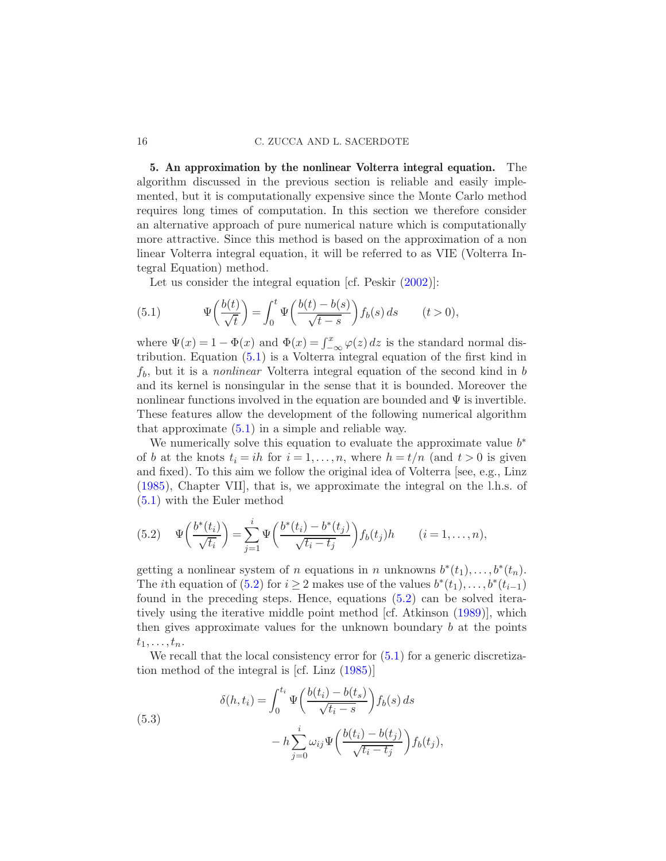## 16 C. ZUCCA AND L. SACERDOTE

5. An approximation by the nonlinear Volterra integral equation. The algorithm discussed in the previous section is reliable and easily implemented, but it is computationally expensive since the Monte Carlo method requires long times of computation. In this section we therefore consider an alternative approach of pure numerical nature which is computationally more attractive. Since this method is based on the approximation of a non linear Volterra integral equation, it will be referred to as VIE (Volterra Integral Equation) method.

<span id="page-15-1"></span>Let us consider the integral equation [cf. Peskir  $(2002)$ ]:

(5.1) 
$$
\Psi\left(\frac{b(t)}{\sqrt{t}}\right) = \int_0^t \Psi\left(\frac{b(t) - b(s)}{\sqrt{t - s}}\right) f_b(s) ds \qquad (t > 0),
$$

where  $\Psi(x) = 1 - \Phi(x)$  and  $\Phi(x) = \int_{-\infty}^{x} \varphi(z) dz$  is the standard normal distribution. Equation [\(5.1\)](#page-15-1) is a Volterra integral equation of the first kind in  $f<sub>b</sub>$ , but it is a *nonlinear* Volterra integral equation of the second kind in b and its kernel is nonsingular in the sense that it is bounded. Moreover the nonlinear functions involved in the equation are bounded and  $\Psi$  is invertible. These features allow the development of the following numerical algorithm that approximate  $(5.1)$  in a simple and reliable way.

We numerically solve this equation to evaluate the approximate value  $b^*$ of b at the knots  $t_i = ih$  for  $i = 1, ..., n$ , where  $h = t/n$  (and  $t > 0$  is given and fixed). To this aim we follow the original idea of Volterra [see, e.g., Linz [\(1985\)](#page-27-17), Chapter VII], that is, we approximate the integral on the l.h.s. of [\(5.1\)](#page-15-1) with the Euler method

<span id="page-15-2"></span>(5.2) 
$$
\Psi\left(\frac{b^*(t_i)}{\sqrt{t_i}}\right) = \sum_{j=1}^i \Psi\left(\frac{b^*(t_i) - b^*(t_j)}{\sqrt{t_i - t_j}}\right) f_b(t_j) h \qquad (i = 1, ..., n),
$$

getting a nonlinear system of n equations in n unknowns  $b^*(t_1), \ldots, b^*(t_n)$ . The *i*th equation of [\(5.2\)](#page-15-2) for  $i \geq 2$  makes use of the values  $b^*(t_1), \ldots, b^*(t_{i-1})$ found in the preceding steps. Hence, equations [\(5.2\)](#page-15-2) can be solved iteratively using the iterative middle point method [cf. Atkinson [\(1989](#page-27-15))], which then gives approximate values for the unknown boundary  $b$  at the points  $t_1, \ldots, t_n$ .

We recall that the local consistency error for  $(5.1)$  for a generic discretization method of the integral is [cf. Linz [\(1985](#page-27-17))]

(5.3)  

$$
\delta(h, t_i) = \int_0^{t_i} \Psi\left(\frac{b(t_i) - b(t_s)}{\sqrt{t_i - s}}\right) f_b(s) ds - h \sum_{j=0}^i \omega_{ij} \Psi\left(\frac{b(t_i) - b(t_j)}{\sqrt{t_i - t_j}}\right) f_b(t_j),
$$

<span id="page-15-0"></span>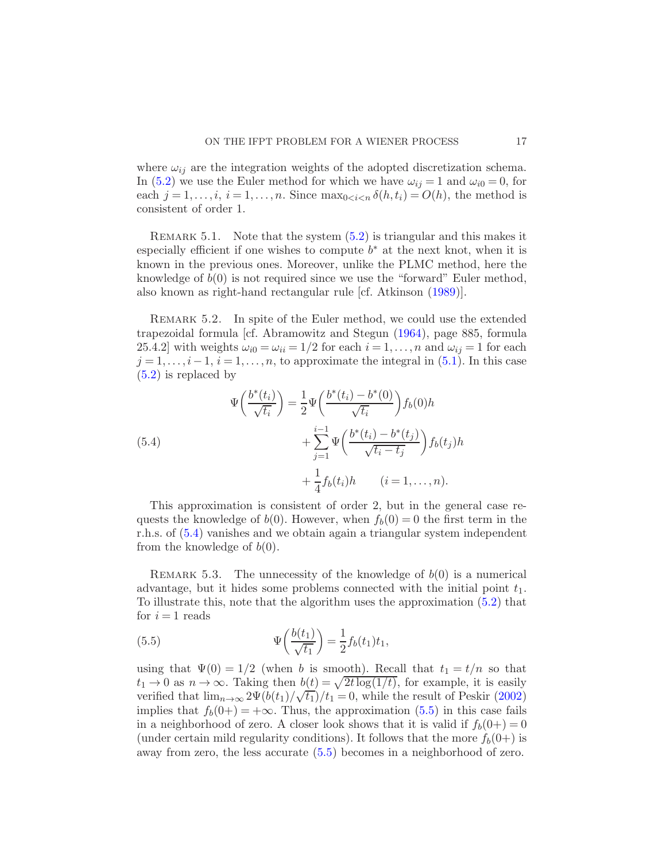where  $\omega_{ij}$  are the integration weights of the adopted discretization schema. In [\(5.2\)](#page-15-2) we use the Euler method for which we have  $\omega_{ij} = 1$  and  $\omega_{i0} = 0$ , for each  $j = 1, \ldots, i, i = 1, \ldots, n$ . Since  $\max_{0 \leq i \leq n} \delta(h, t_i) = O(h)$ , the method is consistent of order 1.

REMARK 5.1. Note that the system  $(5.2)$  is triangular and this makes it especially efficient if one wishes to compute  $b^*$  at the next knot, when it is known in the previous ones. Moreover, unlike the PLMC method, here the knowledge of  $b(0)$  is not required since we use the "forward" Euler method, also known as right-hand rectangular rule [cf. Atkinson [\(1989](#page-27-15))].

REMARK 5.2. In spite of the Euler method, we could use the extended trapezoidal formula [cf. Abramowitz and Stegun [\(1964](#page-26-0)), page 885, formula 25.4.2] with weights  $\omega_{i0} = \omega_{ii} = 1/2$  for each  $i = 1, ..., n$  and  $\omega_{ij} = 1$  for each  $j = 1, \ldots, i-1, i = 1, \ldots, n$ , to approximate the integral in [\(5.1\)](#page-15-1). In this case [\(5.2\)](#page-15-2) is replaced by

<span id="page-16-0"></span>(5.4)  
\n
$$
\Psi\left(\frac{b^*(t_i)}{\sqrt{t_i}}\right) = \frac{1}{2}\Psi\left(\frac{b^*(t_i) - b^*(0)}{\sqrt{t_i}}\right) f_b(0)h + \sum_{j=1}^{i-1} \Psi\left(\frac{b^*(t_i) - b^*(t_j)}{\sqrt{t_i - t_j}}\right) f_b(t_j)h + \frac{1}{4} f_b(t_i)h \qquad (i = 1, ..., n).
$$

This approximation is consistent of order 2, but in the general case requests the knowledge of  $b(0)$ . However, when  $f_b(0) = 0$  the first term in the r.h.s. of [\(5.4\)](#page-16-0) vanishes and we obtain again a triangular system independent from the knowledge of  $b(0)$ .

REMARK 5.3. The unnecessity of the knowledge of  $b(0)$  is a numerical advantage, but it hides some problems connected with the initial point  $t_1$ . To illustrate this, note that the algorithm uses the approximation [\(5.2\)](#page-15-2) that for  $i = 1$  reads

<span id="page-16-1"></span>(5.5) 
$$
\Psi\left(\frac{b(t_1)}{\sqrt{t_1}}\right) = \frac{1}{2}f_b(t_1)t_1,
$$

using that  $\Psi(0) = 1/2$  (when b is smooth). Recall that  $t_1 = t/n$  so that  $t_1 \rightarrow 0$  as  $n \rightarrow \infty$ . Taking then  $b(t) = \sqrt{2t \log(1/t)}$ , for example, it is easily verified that  $\lim_{n\to\infty} 2\Psi(b(t_1)/\sqrt{t_1})/t_1 = 0$ , while the result of Peskir [\(2002](#page-27-9)) implies that  $f_b(0+) = +\infty$ . Thus, the approximation [\(5.5\)](#page-16-1) in this case fails in a neighborhood of zero. A closer look shows that it is valid if  $f_b(0+) = 0$ (under certain mild regularity conditions). It follows that the more  $f_b(0+)$  is away from zero, the less accurate [\(5.5\)](#page-16-1) becomes in a neighborhood of zero.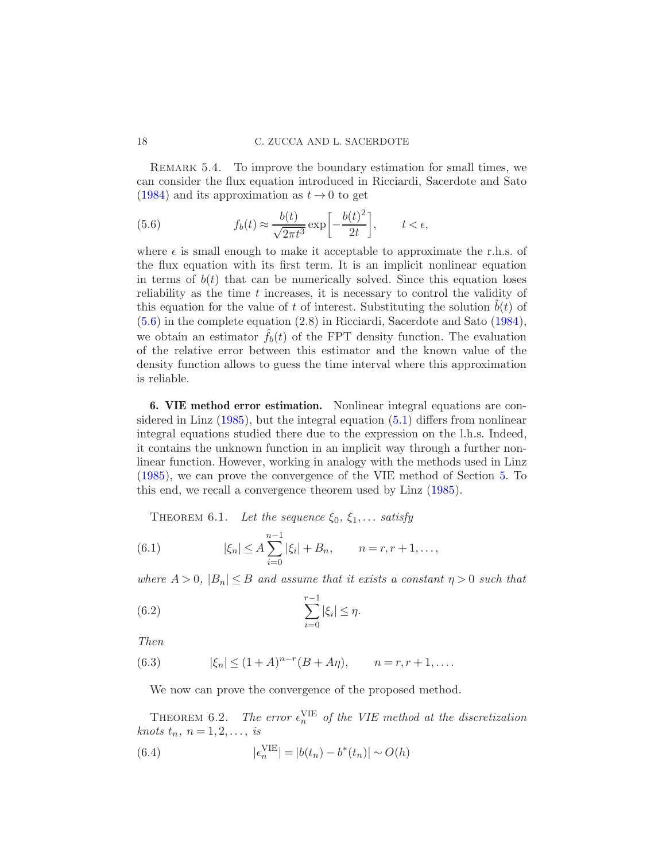REMARK 5.4. To improve the boundary estimation for small times, we can consider the flux equation introduced in Ricciardi, Sacerdote and Sato [\(1984\)](#page-27-18) and its approximation as  $t \to 0$  to get

<span id="page-17-1"></span>(5.6) 
$$
f_b(t) \approx \frac{b(t)}{\sqrt{2\pi t^3}} \exp\left[-\frac{b(t)^2}{2t}\right], \qquad t < \epsilon,
$$

where  $\epsilon$  is small enough to make it acceptable to approximate the r.h.s. of the flux equation with its first term. It is an implicit nonlinear equation in terms of  $b(t)$  that can be numerically solved. Since this equation loses reliability as the time  $t$  increases, it is necessary to control the validity of this equation for the value of t of interest. Substituting the solution  $b(t)$  of [\(5.6\)](#page-17-1) in the complete equation (2.8) in Ricciardi, Sacerdote and Sato [\(1984](#page-27-18)), we obtain an estimator  $f_b(t)$  of the FPT density function. The evaluation of the relative error between this estimator and the known value of the density function allows to guess the time interval where this approximation is reliable.

<span id="page-17-0"></span>6. VIE method error estimation. Nonlinear integral equations are considered in Linz [\(1985\)](#page-27-17), but the integral equation [\(5.1\)](#page-15-1) differs from nonlinear integral equations studied there due to the expression on the l.h.s. Indeed, it contains the unknown function in an implicit way through a further nonlinear function. However, working in analogy with the methods used in Linz [\(1985\)](#page-27-17), we can prove the convergence of the VIE method of Section [5.](#page-15-0) To this end, we recall a convergence theorem used by Linz [\(1985](#page-27-17)).

<span id="page-17-3"></span>THEOREM 6.1. Let the sequence  $\xi_0, \xi_1, \ldots$  satisfy

(6.1) 
$$
|\xi_n| \le A \sum_{i=0}^{n-1} |\xi_i| + B_n, \qquad n = r, r + 1, \dots,
$$

where  $A > 0$ ,  $|B_n| \leq B$  and assume that it exists a constant  $\eta > 0$  such that

(6.2) 
$$
\sum_{i=0}^{r-1} |\xi_i| \leq \eta.
$$

Then

(6.3) 
$$
|\xi_n| \le (1 + A)^{n-r}(B + A\eta), \qquad n = r, r + 1, ....
$$

<span id="page-17-4"></span>We now can prove the convergence of the proposed method.

THEOREM 6.2. The error  $\epsilon_n^{\text{VIE}}$  of the VIE method at the discretization knots  $t_n$ ,  $n = 1, 2, \ldots$ , is

<span id="page-17-2"></span>(6.4) 
$$
|\epsilon_n^{\text{VIE}}| = |b(t_n) - b^*(t_n)| \sim O(h)
$$

<span id="page-17-5"></span>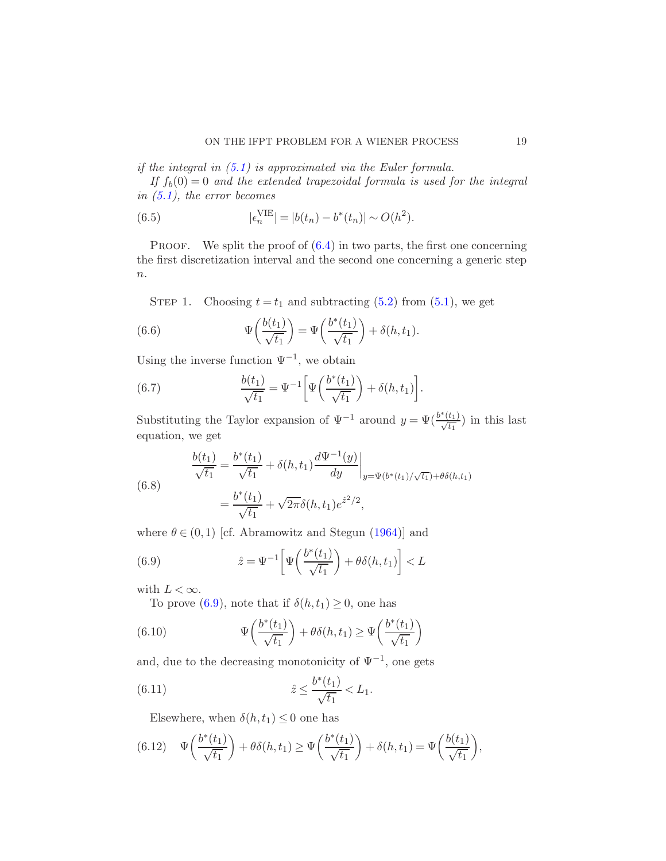if the integral in [\(5.1\)](#page-15-1) is approximated via the Euler formula.

If  $f_b(0) = 0$  and the extended trapezoidal formula is used for the integral in  $(5.1)$ , the error becomes

<span id="page-18-4"></span>(6.5) 
$$
|\epsilon_n^{\text{VIE}}| = |b(t_n) - b^*(t_n)| \sim O(h^2).
$$

<span id="page-18-0"></span>PROOF. We split the proof of  $(6.4)$  in two parts, the first one concerning the first discretization interval and the second one concerning a generic step  $\overline{n}$ .

STEP 1. Choosing  $t = t_1$  and subtracting [\(5.2\)](#page-15-2) from [\(5.1\)](#page-15-1), we get

(6.6) 
$$
\Psi\left(\frac{b(t_1)}{\sqrt{t_1}}\right) = \Psi\left(\frac{b^*(t_1)}{\sqrt{t_1}}\right) + \delta(h, t_1).
$$

Using the inverse function  $\Psi^{-1}$ , we obtain

(6.7) 
$$
\frac{b(t_1)}{\sqrt{t_1}} = \Psi^{-1} \left[ \Psi \left( \frac{b^*(t_1)}{\sqrt{t_1}} \right) + \delta(h, t_1) \right].
$$

Substituting the Taylor expansion of  $\Psi^{-1}$  around  $y = \Psi(\frac{b^*(t_1)}{\sqrt{t_1}})$  in this last equation, we get

<span id="page-18-2"></span>(6.8)  

$$
\frac{b(t_1)}{\sqrt{t_1}} = \frac{b^*(t_1)}{\sqrt{t_1}} + \delta(h, t_1) \frac{d\Psi^{-1}(y)}{dy}\Big|_{y=\Psi(b^*(t_1)/\sqrt{t_1})+\theta\delta(h, t_1)}
$$

$$
= \frac{b^*(t_1)}{\sqrt{t_1}} + \sqrt{2\pi}\delta(h, t_1)e^{\hat{z}^2/2},
$$

where  $\theta \in (0,1)$  [cf. Abramowitz and Stegun [\(1964\)](#page-26-0)] and

(6.9) 
$$
\hat{z} = \Psi^{-1} \left[ \Psi \left( \frac{b^*(t_1)}{\sqrt{t_1}} \right) + \theta \delta(h, t_1) \right] < L
$$

with  $L < \infty$ .

<span id="page-18-1"></span>To prove [\(6.9\)](#page-18-1), note that if  $\delta(h, t_1) \geq 0$ , one has

(6.10) 
$$
\Psi\left(\frac{b^*(t_1)}{\sqrt{t_1}}\right) + \theta \delta(h, t_1) \ge \Psi\left(\frac{b^*(t_1)}{\sqrt{t_1}}\right)
$$

and, due to the decreasing monotonicity of  $\Psi^{-1}$ , one gets

(6.11) 
$$
\hat{z} \le \frac{b^*(t_1)}{\sqrt{t_1}} < L_1.
$$

<span id="page-18-3"></span>Elsewhere, when  $\delta(h, t_1) \leq 0$  one has

(6.12) 
$$
\Psi\left(\frac{b^*(t_1)}{\sqrt{t_1}}\right) + \theta\delta(h,t_1) \ge \Psi\left(\frac{b^*(t_1)}{\sqrt{t_1}}\right) + \delta(h,t_1) = \Psi\left(\frac{b(t_1)}{\sqrt{t_1}}\right),
$$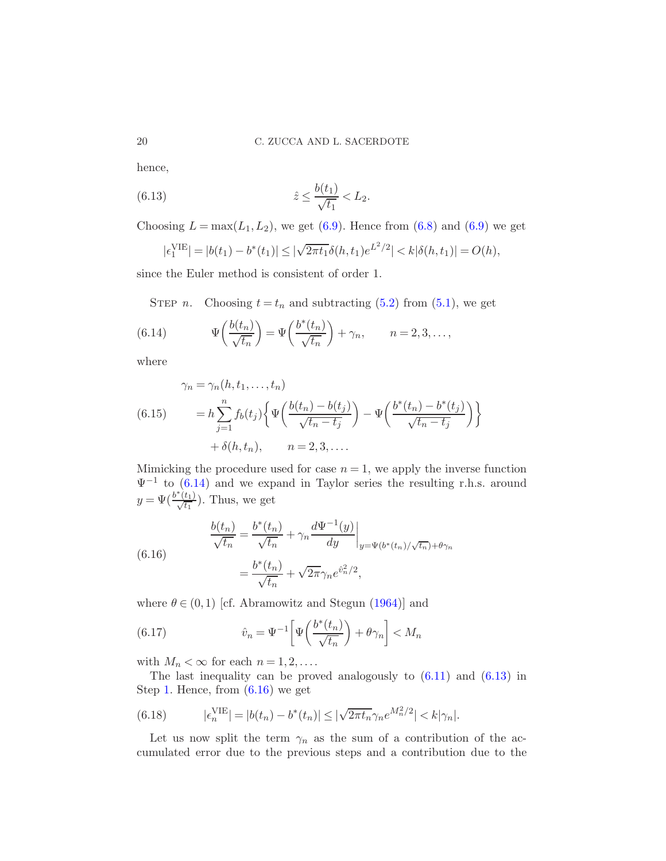hence,

(6.13) 
$$
\hat{z} \le \frac{b(t_1)}{\sqrt{t_1}} < L_2.
$$

Choosing  $L = \max(L_1, L_2)$ , we get [\(6.9\)](#page-18-1). Hence from [\(6.8\)](#page-18-2) and (6.9) we get

<span id="page-19-1"></span>
$$
|\epsilon_1^{\text{VIE}}| = |b(t_1) - b^*(t_1)| \le |\sqrt{2\pi t_1} \delta(h, t_1) e^{L^2/2}| < k|\delta(h, t_1)| = O(h),
$$

since the Euler method is consistent of order 1.

<span id="page-19-0"></span>STEP *n*. Choosing  $t = t_n$  and subtracting [\(5.2\)](#page-15-2) from [\(5.1\)](#page-15-1), we get

(6.14) 
$$
\Psi\left(\frac{b(t_n)}{\sqrt{t_n}}\right) = \Psi\left(\frac{b^*(t_n)}{\sqrt{t_n}}\right) + \gamma_n, \qquad n = 2, 3, \dots,
$$

where

(6.15) 
$$
\gamma_n = \gamma_n(h, t_1, \dots, t_n)
$$

$$
= h \sum_{j=1}^n f_b(t_j) \left\{ \Psi\left(\frac{b(t_n) - b(t_j)}{\sqrt{t_n - t_j}}\right) - \Psi\left(\frac{b^*(t_n) - b^*(t_j)}{\sqrt{t_n - t_j}}\right) \right\}
$$

$$
+ \delta(h, t_n), \qquad n = 2, 3, \dots
$$

Mimicking the procedure used for case  $n = 1$ , we apply the inverse function  $\Psi^{-1}$  to [\(6.14\)](#page-19-0) and we expand in Taylor series the resulting r.h.s. around  $y = \Psi(\frac{b^*(t_1)}{\sqrt{t_1}})$ . Thus, we get

<span id="page-19-2"></span>(6.16)  

$$
\frac{b(t_n)}{\sqrt{t_n}} = \frac{b^*(t_n)}{\sqrt{t_n}} + \gamma_n \frac{d\Psi^{-1}(y)}{dy}\Big|_{y=\Psi(b^*(t_n)/\sqrt{t_n})+\theta\gamma_n}
$$

$$
= \frac{b^*(t_n)}{\sqrt{t_n}} + \sqrt{2\pi}\gamma_n e^{\hat{v}_n^2/2},
$$

where  $\theta \in (0,1)$  [cf. Abramowitz and Stegun [\(1964\)](#page-26-0)] and

(6.17) 
$$
\hat{v}_n = \Psi^{-1} \left[ \Psi \left( \frac{b^*(t_n)}{\sqrt{t_n}} \right) + \theta \gamma_n \right] < M_n
$$

with  $M_n < \infty$  for each  $n = 1, 2, \ldots$ .

The last inequality can be proved analogously to  $(6.11)$  and  $(6.13)$  in Step [1.](#page-18-0) Hence, from [\(6.16\)](#page-19-2) we get

<span id="page-19-3"></span>(6.18) 
$$
|\epsilon_n^{\text{VIE}}| = |b(t_n) - b^*(t_n)| \le |\sqrt{2\pi t_n} \gamma_n e^{M_n^2/2}| < k |\gamma_n|.
$$

Let us now split the term  $\gamma_n$  as the sum of a contribution of the accumulated error due to the previous steps and a contribution due to the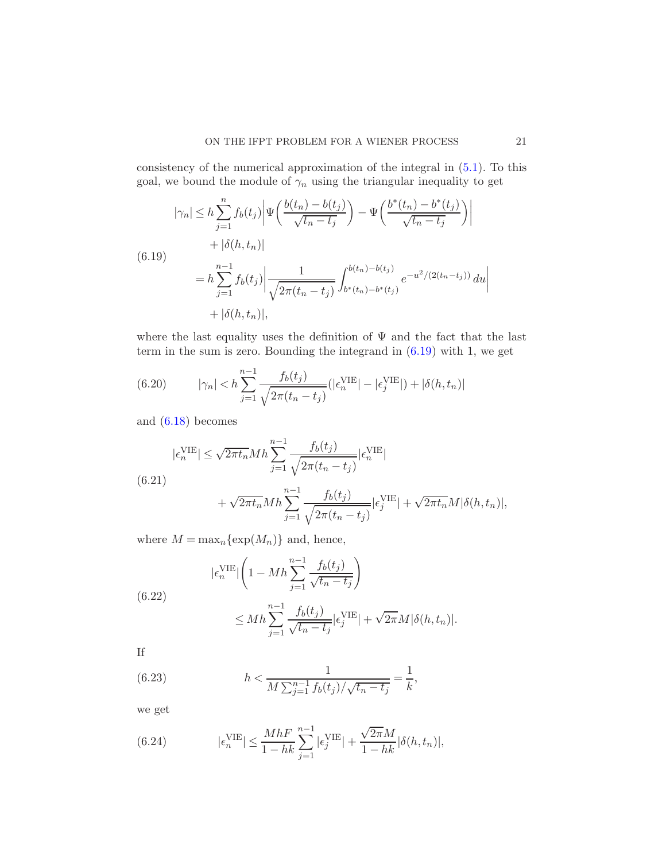consistency of the numerical approximation of the integral in [\(5.1\)](#page-15-1). To this goal, we bound the module of  $\gamma_n$  using the triangular inequality to get

<span id="page-20-0"></span>
$$
|\gamma_n| \le h \sum_{j=1}^n f_b(t_j) \left| \Psi\left(\frac{b(t_n) - b(t_j)}{\sqrt{t_n - t_j}}\right) - \Psi\left(\frac{b^*(t_n) - b^*(t_j)}{\sqrt{t_n - t_j}}\right) \right|
$$
  
+  $|\delta(h, t_n)|$   
=  $h \sum_{j=1}^{n-1} f_b(t_j) \left| \frac{1}{\sqrt{2\pi(t_n - t_j)}} \int_{b^*(t_n) - b^*(t_j)}^{b(t_n) - b(t_j)} e^{-u^2/(2(t_n - t_j))} du \right|$   
+  $|\delta(h, t_n)|$ ,

where the last equality uses the definition of  $\Psi$  and the fact that the last term in the sum is zero. Bounding the integrand in [\(6.19\)](#page-20-0) with 1, we get

(6.20) 
$$
|\gamma_n| < h \sum_{j=1}^{n-1} \frac{f_b(t_j)}{\sqrt{2\pi (t_n - t_j)}} (|\epsilon_n^{\text{VIE}}| - |\epsilon_j^{\text{VIE}}|) + |\delta(h, t_n)|
$$

and [\(6.18\)](#page-19-3) becomes

<span id="page-20-1"></span>
$$
|\epsilon_n^{\text{VIE}}| \le \sqrt{2\pi t_n} M h \sum_{j=1}^{n-1} \frac{f_b(t_j)}{\sqrt{2\pi (t_n - t_j)}} |\epsilon_n^{\text{VIE}}|
$$
  
(6.21)  

$$
+ \sqrt{2\pi t_n} M h \sum_{j=1}^{n-1} \frac{f_b(t_j)}{\sqrt{2\pi (t_n - t_j)}} |\epsilon_j^{\text{VIE}}| + \sqrt{2\pi t_n} M |\delta(h, t_n)|,
$$

where  $M = \max_n {\exp(M_n)}$  and, hence,

$$
|\epsilon_n^{\text{VIE}}| \left(1 - Mh \sum_{j=1}^{n-1} \frac{f_b(t_j)}{\sqrt{t_n - t_j}}\right)
$$

(6.22)

$$
\leq Mh\sum_{j=1}^{n-1}\frac{f_b(t_j)}{\sqrt{t_n-t_j}}|\epsilon_j^{\text{VIE}}| + \sqrt{2\pi}M|\delta(h,t_n)|.
$$

If

(6.23) 
$$
h < \frac{1}{M \sum_{j=1}^{n-1} f_b(t_j) / \sqrt{t_n - t_j}} = \frac{1}{k},
$$

we get

(6.24) 
$$
|\epsilon_n^{\text{VIE}}| \le \frac{MhF}{1-hk} \sum_{j=1}^{n-1} |\epsilon_j^{\text{VIE}}| + \frac{\sqrt{2\pi}M}{1-hk} |\delta(h, t_n)|,
$$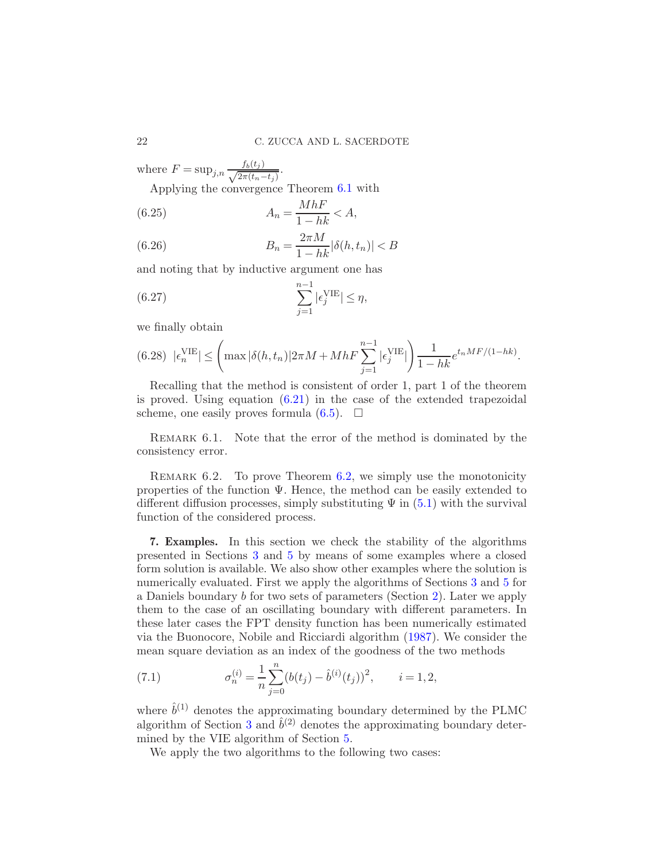where  $F = \sup_{j,n} \frac{f_b(t_j)}{\sqrt{2\pi (t-1)}}$  $\frac{Jb(t_j)}{2\pi (t_n-t_j)}$ 

Applying the convergence Theorem [6.1](#page-17-3) with

$$
(6.25) \t An = \frac{MhF}{1 - hk} < A,
$$

(6.26) 
$$
B_n = \frac{2\pi M}{1 - hk} |\delta(h, t_n)| < B
$$

and noting that by inductive argument one has

(6.27) 
$$
\sum_{j=1}^{n-1} |\epsilon_j^{\text{VIE}}| \le \eta,
$$

we finally obtain

$$
(6.28) \left| \epsilon_n^{\text{VIE}} \right| \le \left( \max |\delta(h, t_n)| 2\pi M + M h F \sum_{j=1}^{n-1} |\epsilon_j^{\text{VIE}}| \right) \frac{1}{1 - hk} e^{t_n M F / (1 - hk)}.
$$

Recalling that the method is consistent of order 1, part 1 of the theorem is proved. Using equation  $(6.21)$  in the case of the extended trapezoidal scheme, one easily proves formula  $(6.5)$ .  $\Box$ 

Remark 6.1. Note that the error of the method is dominated by the consistency error.

REMARK 6.2. To prove Theorem [6.2,](#page-17-4) we simply use the monotonicity properties of the function  $\Psi$ . Hence, the method can be easily extended to different diffusion processes, simply substituting  $\Psi$  in [\(5.1\)](#page-15-1) with the survival function of the considered process.

<span id="page-21-0"></span>7. Examples. In this section we check the stability of the algorithms presented in Sections [3](#page-5-0) and [5](#page-15-0) by means of some examples where a closed form solution is available. We also show other examples where the solution is numerically evaluated. First we apply the algorithms of Sections [3](#page-5-0) and [5](#page-15-0) for a Daniels boundary b for two sets of parameters (Section [2\)](#page-2-0). Later we apply them to the case of an oscillating boundary with different parameters. In these later cases the FPT density function has been numerically estimated via the Buonocore, Nobile and Ricciardi algorithm [\(1987](#page-27-8)). We consider the mean square deviation as an index of the goodness of the two methods

(7.1) 
$$
\sigma_n^{(i)} = \frac{1}{n} \sum_{j=0}^n (b(t_j) - \hat{b}^{(i)}(t_j))^2, \qquad i = 1, 2,
$$

where  $\hat{b}^{(1)}$  denotes the approximating boundary determined by the PLMC algorithm of Section [3](#page-5-0) and  $\hat{b}^{(2)}$  denotes the approximating boundary determined by the VIE algorithm of Section [5.](#page-15-0)

We apply the two algorithms to the following two cases: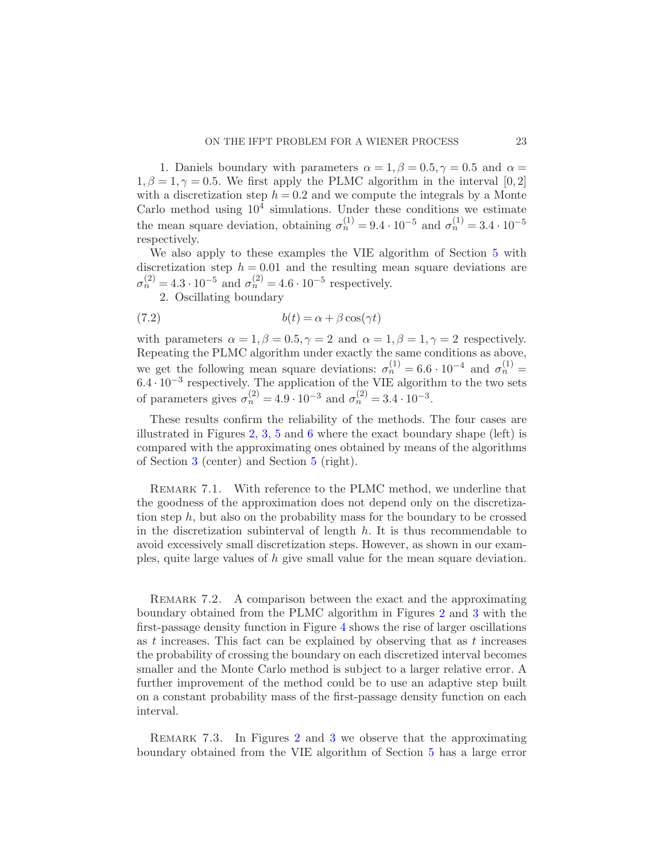1. Daniels boundary with parameters  $\alpha = 1, \beta = 0.5, \gamma = 0.5$  and  $\alpha =$  $1, \beta = 1, \gamma = 0.5$ . We first apply the PLMC algorithm in the interval [0,2] with a discretization step  $h = 0.2$  and we compute the integrals by a Monte Carlo method using  $10^4$  simulations. Under these conditions we estimate the mean square deviation, obtaining  $\sigma_n^{(1)} = 9.4 \cdot 10^{-5}$  and  $\sigma_n^{(1)} = 3.4 \cdot 10^{-5}$ respectively.

We also apply to these examples the VIE algorithm of Section [5](#page-15-0) with discretization step  $h = 0.01$  and the resulting mean square deviations are  $\sigma_n^{(2)} = 4.3 \cdot 10^{-5}$  and  $\sigma_n^{(2)} = 4.6 \cdot 10^{-5}$  respectively.

2. Oscillating boundary

(7.2) 
$$
b(t) = \alpha + \beta \cos(\gamma t)
$$

with parameters  $\alpha = 1, \beta = 0.5, \gamma = 2$  and  $\alpha = 1, \beta = 1, \gamma = 2$  respectively. Repeating the PLMC algorithm under exactly the same conditions as above, we get the following mean square deviations:  $\sigma_n^{(1)} = 6.6 \cdot 10^{-4}$  and  $\sigma_n^{(1)} =$  $6.4 \cdot 10^{-3}$  respectively. The application of the VIE algorithm to the two sets of parameters gives  $\sigma_n^{(2)} = 4.9 \cdot 10^{-3}$  and  $\sigma_n^{(2)} = 3.4 \cdot 10^{-3}$ .

These results confirm the reliability of the methods. The four cases are illustrated in Figures [2,](#page-23-1) [3,](#page-23-2) [5](#page-24-0) and [6](#page-25-0) where the exact boundary shape (left) is compared with the approximating ones obtained by means of the algorithms of Section [3](#page-5-0) (center) and Section [5](#page-15-0) (right).

REMARK 7.1. With reference to the PLMC method, we underline that the goodness of the approximation does not depend only on the discretization step  $h$ , but also on the probability mass for the boundary to be crossed in the discretization subinterval of length  $h$ . It is thus recommendable to avoid excessively small discretization steps. However, as shown in our examples, quite large values of h give small value for the mean square deviation.

REMARK 7.2. A comparison between the exact and the approximating boundary obtained from the PLMC algorithm in Figures [2](#page-23-1) and [3](#page-23-2) with the first-passage density function in Figure [4](#page-24-1) shows the rise of larger oscillations as t increases. This fact can be explained by observing that as t increases the probability of crossing the boundary on each discretized interval becomes smaller and the Monte Carlo method is subject to a larger relative error. A further improvement of the method could be to use an adaptive step built on a constant probability mass of the first-passage density function on each interval.

REMARK 7.3. In Figures [2](#page-23-1) and [3](#page-23-2) we observe that the approximating boundary obtained from the VIE algorithm of Section [5](#page-15-0) has a large error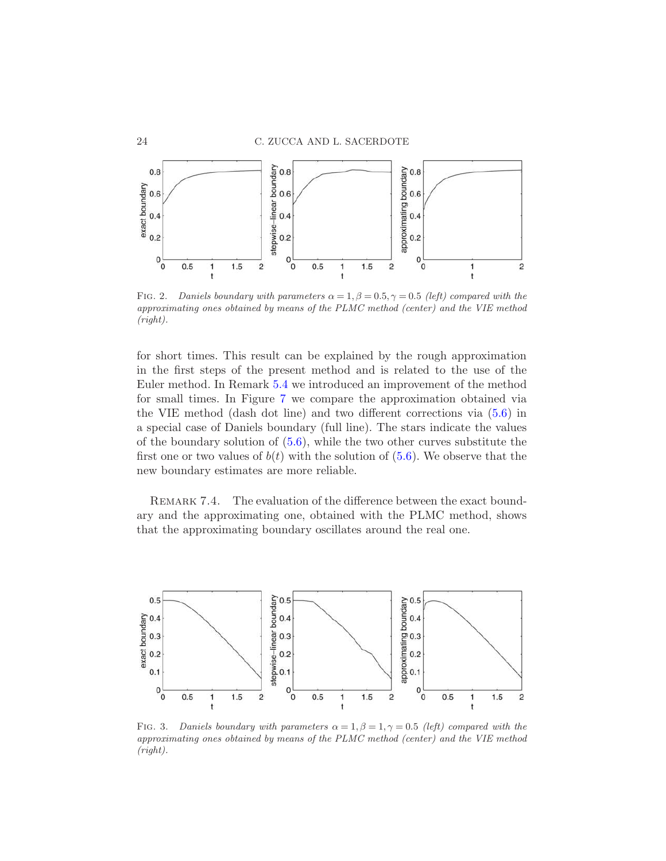

<span id="page-23-1"></span>FIG. 2. *Daniels boundary with parameters*  $\alpha = 1, \beta = 0.5, \gamma = 0.5$  *(left) compared with the approximating ones obtained by means of the PLMC method (center) and the VIE method (right).*

for short times. This result can be explained by the rough approximation in the first steps of the present method and is related to the use of the Euler method. In Remark [5.4](#page-17-5) we introduced an improvement of the method for small times. In Figure [7](#page-25-1) we compare the approximation obtained via the VIE method (dash dot line) and two different corrections via [\(5.6\)](#page-17-1) in a special case of Daniels boundary (full line). The stars indicate the values of the boundary solution of  $(5.6)$ , while the two other curves substitute the first one or two values of  $b(t)$  with the solution of [\(5.6\)](#page-17-1). We observe that the new boundary estimates are more reliable.

REMARK 7.4. The evaluation of the difference between the exact boundary and the approximating one, obtained with the PLMC method, shows that the approximating boundary oscillates around the real one.

<span id="page-23-0"></span>

<span id="page-23-2"></span>FIG. 3. *Daniels boundary with parameters*  $\alpha = 1, \beta = 1, \gamma = 0.5$  *(left) compared with the approximating ones obtained by means of the PLMC method (center) and the VIE method (right).*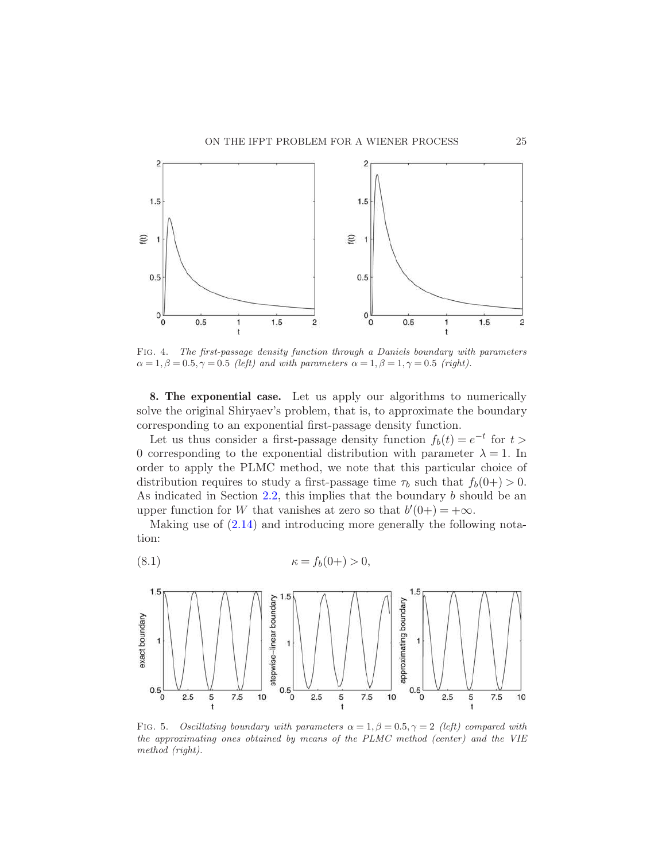

<span id="page-24-1"></span>Fig. 4. *The first-passage density function through a Daniels boundary with parameters*  $\alpha = 1, \beta = 0.5, \gamma = 0.5$  *(left)* and with parameters  $\alpha = 1, \beta = 1, \gamma = 0.5$  *(right).* 

8. The exponential case. Let us apply our algorithms to numerically solve the original Shiryaev's problem, that is, to approximate the boundary corresponding to an exponential first-passage density function.

Let us thus consider a first-passage density function  $f_b(t) = e^{-t}$  for  $t >$ 0 corresponding to the exponential distribution with parameter  $\lambda = 1$ . In order to apply the PLMC method, we note that this particular choice of distribution requires to study a first-passage time  $\tau_b$  such that  $f_b(0+) > 0$ . As indicated in Section  $2.2$ , this implies that the boundary b should be an upper function for W that vanishes at zero so that  $b'(0+) = +\infty$ .

Making use of [\(2.14\)](#page-5-5) and introducing more generally the following notation:

$$
(8.1) \qquad \qquad \kappa = f_b(0+) > 0,
$$



<span id="page-24-0"></span>FIG. 5. *Oscillating boundary with parameters*  $\alpha = 1, \beta = 0.5, \gamma = 2$  *(left) compared with the approximating ones obtained by means of the PLMC method (center) and the VIE method (right).*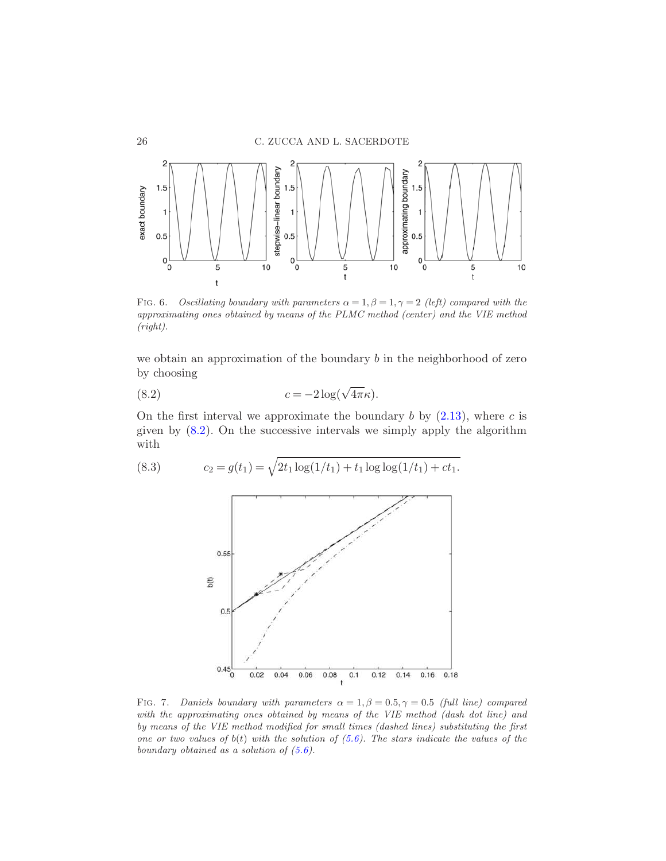

<span id="page-25-0"></span>FIG. 6. *Oscillating boundary with parameters*  $\alpha = 1, \beta = 1, \gamma = 2$  *(left) compared with the approximating ones obtained by means of the PLMC method (center) and the VIE method (right).*

we obtain an approximation of the boundary  $b$  in the neighborhood of zero by choosing

(8.2) 
$$
c = -2\log(\sqrt{4\pi}\kappa).
$$

On the first interval we approximate the boundary  $b$  by  $(2.13)$ , where  $c$  is given by  $(8.2)$ . On the successive intervals we simply apply the algorithm with

(8.3) 
$$
c_2 = g(t_1) = \sqrt{2t_1 \log(1/t_1) + t_1 \log \log(1/t_1) + ct_1}.
$$

<span id="page-25-2"></span>

<span id="page-25-1"></span>FIG. 7. *Daniels boundary with parameters*  $\alpha = 1, \beta = 0.5, \gamma = 0.5$  *(full line) compared with the approximating ones obtained by means of the VIE method (dash dot line) and by means of the VIE method modified for small times (dashed lines) substituting the first one or two values of* b(t) *with the solution of [\(5.6\)](#page-17-1). The stars indicate the values of the boundary obtained as a solution of [\(5.6\)](#page-17-1).*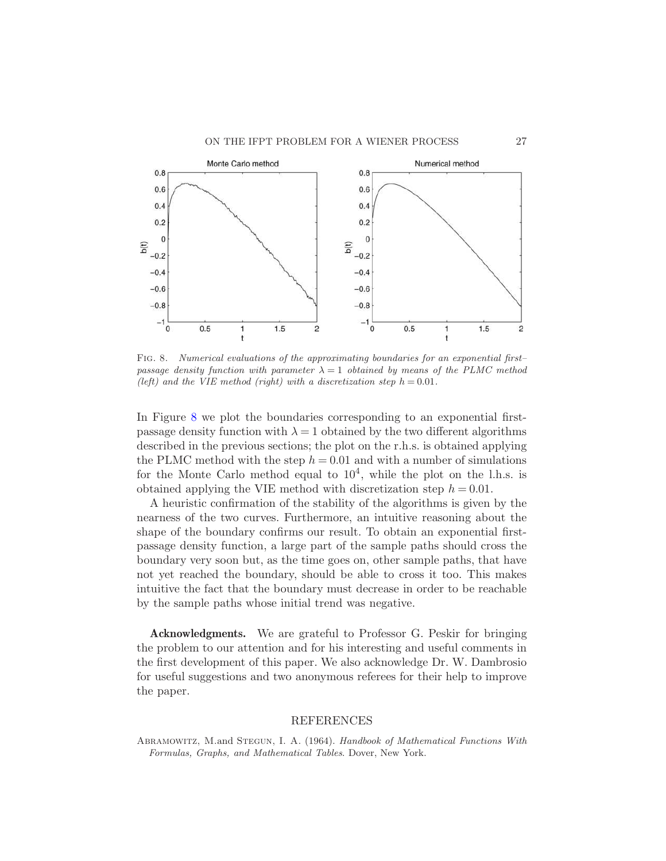

<span id="page-26-1"></span>Fig. 8. *Numerical evaluations of the approximating boundaries for an exponential first– passage density function with parameter*  $\lambda = 1$  *obtained by means of the PLMC method (left)* and the VIE method *(right)* with a discretization step  $h = 0.01$ .

In Figure [8](#page-26-1) we plot the boundaries corresponding to an exponential firstpassage density function with  $\lambda = 1$  obtained by the two different algorithms described in the previous sections; the plot on the r.h.s. is obtained applying the PLMC method with the step  $h = 0.01$  and with a number of simulations for the Monte Carlo method equal to  $10<sup>4</sup>$ , while the plot on the l.h.s. is obtained applying the VIE method with discretization step  $h = 0.01$ .

A heuristic confirmation of the stability of the algorithms is given by the nearness of the two curves. Furthermore, an intuitive reasoning about the shape of the boundary confirms our result. To obtain an exponential firstpassage density function, a large part of the sample paths should cross the boundary very soon but, as the time goes on, other sample paths, that have not yet reached the boundary, should be able to cross it too. This makes intuitive the fact that the boundary must decrease in order to be reachable by the sample paths whose initial trend was negative.

Acknowledgments. We are grateful to Professor G. Peskir for bringing the problem to our attention and for his interesting and useful comments in the first development of this paper. We also acknowledge Dr. W. Dambrosio for useful suggestions and two anonymous referees for their help to improve the paper.

## **REFERENCES**

<span id="page-26-0"></span>Abramowitz, M.and Stegun, I. A. (1964). *Handbook of Mathematical Functions With Formulas, Graphs, and Mathematical Tables*. Dover, New York.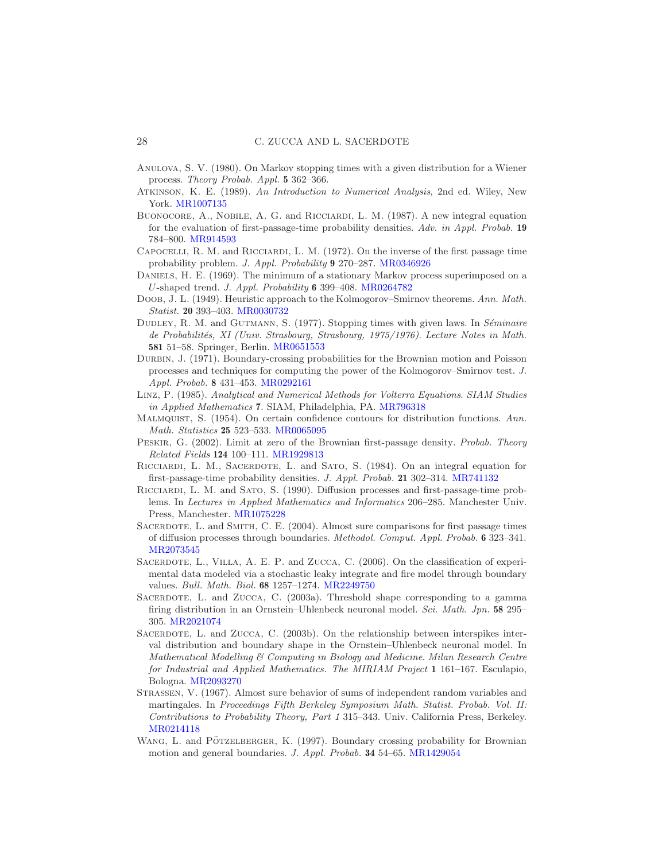- <span id="page-27-5"></span>Anulova, S. V. (1980). On Markov stopping times with a given distribution for a Wiener process. *Theory Probab. Appl.* 5 362–366.
- <span id="page-27-15"></span>Atkinson, K. E. (1989). *An Introduction to Numerical Analysis*, 2nd ed. Wiley, New York. [MR1007135](http://www.ams.org/mathscinet-getitem?mr=1007135)
- <span id="page-27-8"></span>Buonocore, A., Nobile, A. G. and Ricciardi, L. M. (1987). A new integral equation for the evaluation of first-passage-time probability densities. *Adv. in Appl. Probab.* 19 784–800. [MR914593](http://www.ams.org/mathscinet-getitem?mr=914593)
- <span id="page-27-6"></span>Capocelli, R. M. and Ricciardi, L. M. (1972). On the inverse of the first passage time probability problem. *J. Appl. Probability* 9 270–287. [MR0346926](http://www.ams.org/mathscinet-getitem?mr=0346926)
- <span id="page-27-12"></span>DANIELS, H. E. (1969). The minimum of a stationary Markov process superimposed on a U-shaped trend. *J. Appl. Probability* 6 399–408. [MR0264782](http://www.ams.org/mathscinet-getitem?mr=0264782)
- <span id="page-27-10"></span>Doob, J. L. (1949). Heuristic approach to the Kolmogorov–Smirnov theorems. *Ann. Math. Statist.* 20 393–403. [MR0030732](http://www.ams.org/mathscinet-getitem?mr=0030732)
- <span id="page-27-4"></span>DUDLEY, R. M. and GUTMANN, S. (1977). Stopping times with given laws. In *Séminaire de Probabilit´es, XI (Univ. Strasbourg, Strasbourg, 1975/1976)*. *Lecture Notes in Math.* 581 51–58. Springer, Berlin. [MR0651553](http://www.ams.org/mathscinet-getitem?mr=0651553)
- <span id="page-27-13"></span>Durbin, J. (1971). Boundary-crossing probabilities for the Brownian motion and Poisson processes and techniques for computing the power of the Kolmogorov–Smirnov test. *J. Appl. Probab.* 8 431–453. [MR0292161](http://www.ams.org/mathscinet-getitem?mr=0292161)
- <span id="page-27-17"></span>Linz, P. (1985). *Analytical and Numerical Methods for Volterra Equations*. *SIAM Studies in Applied Mathematics* 7. SIAM, Philadelphia, PA. [MR796318](http://www.ams.org/mathscinet-getitem?mr=796318)
- <span id="page-27-11"></span>Malmquist, S. (1954). On certain confidence contours for distribution functions. *Ann. Math. Statistics* 25 523–533. [MR0065095](http://www.ams.org/mathscinet-getitem?mr=0065095)
- <span id="page-27-9"></span>Peskir, G. (2002). Limit at zero of the Brownian first-passage density. *Probab. Theory Related Fields* 124 100–111. [MR1929813](http://www.ams.org/mathscinet-getitem?mr=1929813)
- <span id="page-27-18"></span>RICCIARDI, L. M., SACERDOTE, L. and SATO, S. (1984). On an integral equation for first-passage-time probability densities. *J. Appl. Probab.* 21 302–314. [MR741132](http://www.ams.org/mathscinet-getitem?mr=741132)
- <span id="page-27-0"></span>Ricciardi, L. M. and Sato, S. (1990). Diffusion processes and first-passage-time problems. In *Lectures in Applied Mathematics and Informatics* 206–285. Manchester Univ. Press, Manchester. [MR1075228](http://www.ams.org/mathscinet-getitem?mr=1075228)
- <span id="page-27-16"></span>SACERDOTE, L. and SMITH, C. E. (2004). Almost sure comparisons for first passage times of diffusion processes through boundaries. *Methodol. Comput. Appl. Probab.* 6 323–341. [MR2073545](http://www.ams.org/mathscinet-getitem?mr=2073545)
- <span id="page-27-3"></span>SACERDOTE, L., VILLA, A. E. P. and ZUCCA, C. (2006). On the classification of experimental data modeled via a stochastic leaky integrate and fire model through boundary values. *Bull. Math. Biol.* 68 1257–1274. [MR2249750](http://www.ams.org/mathscinet-getitem?mr=2249750)
- <span id="page-27-1"></span>SACERDOTE, L. and ZUCCA, C. (2003a). Threshold shape corresponding to a gamma firing distribution in an Ornstein–Uhlenbeck neuronal model. *Sci. Math. Jpn.* 58 295– 305. [MR2021074](http://www.ams.org/mathscinet-getitem?mr=2021074)
- <span id="page-27-2"></span>SACERDOTE, L. and ZUCCA, C. (2003b). On the relationship between interspikes interval distribution and boundary shape in the Ornstein–Uhlenbeck neuronal model. In *Mathematical Modelling & Computing in Biology and Medicine*. *Milan Research Centre for Industrial and Applied Mathematics. The MIRIAM Project* 1 161–167. Esculapio, Bologna. [MR2093270](http://www.ams.org/mathscinet-getitem?mr=2093270)
- <span id="page-27-7"></span>Strassen, V. (1967). Almost sure behavior of sums of independent random variables and martingales. In *Proceedings Fifth Berkeley Symposium Math. Statist. Probab. Vol. II: Contributions to Probability Theory, Part 1* 315–343. Univ. California Press, Berkeley. [MR0214118](http://www.ams.org/mathscinet-getitem?mr=0214118)
- <span id="page-27-14"></span>WANG, L. and PÖTZELBERGER, K. (1997). Boundary crossing probability for Brownian motion and general boundaries. *J. Appl. Probab.* 34 54–65. [MR1429054](http://www.ams.org/mathscinet-getitem?mr=1429054)